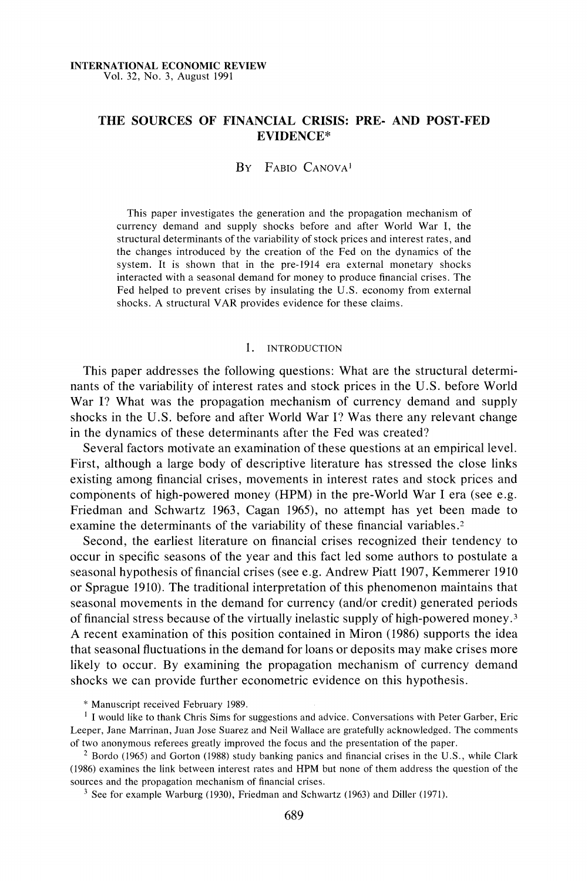## **THE SOURCES OF FINANCIAL CRISIS: PRE- AND POST-FED EVIDENCE\***

## **BY FABIO CANOVA'**

**This paper investigates the generation and the propagation mechanism of currency demand and supply shocks before and after World War I, the structural determinants of the variability of stock prices and interest rates, and the changes introduced by the creation of the Fed on the dynamics of the system. It is shown that in the pre-1914 era external monetary shocks interacted with a seasonal demand for money to produce financial crises. The Fed helped to prevent crises by insulating the U.S. economy from external shocks. A structural VAR provides evidence for these claims.** 

#### **1. INTRODUCTION**

**This paper addresses the following questions: What are the structural determinants of the variability of interest rates and stock prices in the U.S. before World War I? What was the propagation mechanism of currency demand and supply shocks in the U.S. before and after World War I? Was there any relevant change in the dynamics of these determinants after the Fed was created?** 

**Several factors motivate an examination of these questions at an empirical level. First, although a large body of descriptive literature has stressed the close links existing among financial crises, movements in interest rates and stock prices and components of high-powered money (HPM) in the pre-World War I era (see e.g. Friedman and Schwartz 1963, Cagan 1965), no attempt has yet been made to examine the determinants of the variability of these financial variables.2** 

**Second, the earliest literature on financial crises recognized their tendency to occur in specific seasons of the year and this fact led some authors to postulate a seasonal hypothesis of financial crises (see e.g. Andrew Piatt 1907, Kemmerer 1910 or Sprague 1910). The traditional interpretation of this phenomenon maintains that seasonal movements in the demand for currency (and/or credit) generated periods of financial stress because of the virtually inelastic supply of high-powered money.3 A recent examination of this position contained in Miron (1986) supports the idea that seasonal fluctuations in the demand for loans or deposits may make crises more likely to occur. By examining the propagation mechanism of currency demand shocks we can provide further econometric evidence on this hypothesis.** 

**\* Manuscript received February 1989.** 

**lI would like to thank Chris Sims for suggestions and advice. Conversations with Peter Garber, Eric Leeper, Jane Marrinan, Juan Jose Suarez and Neil Wallace are gratefully acknowledged. The comments of two anonymous referees greatly improved the focus and the presentation of the paper.** 

**2 Bordo (1965) and Gorton (1988) study banking panics and financial crises in the U.S., while Clark (1986) examines the link between interest rates and HPM but none of them address the question of the sources and the propagation mechanism of financial crises.** 

**3 See for example Warburg (1930), Friedman and Schwartz (1963) and Diller (1971).**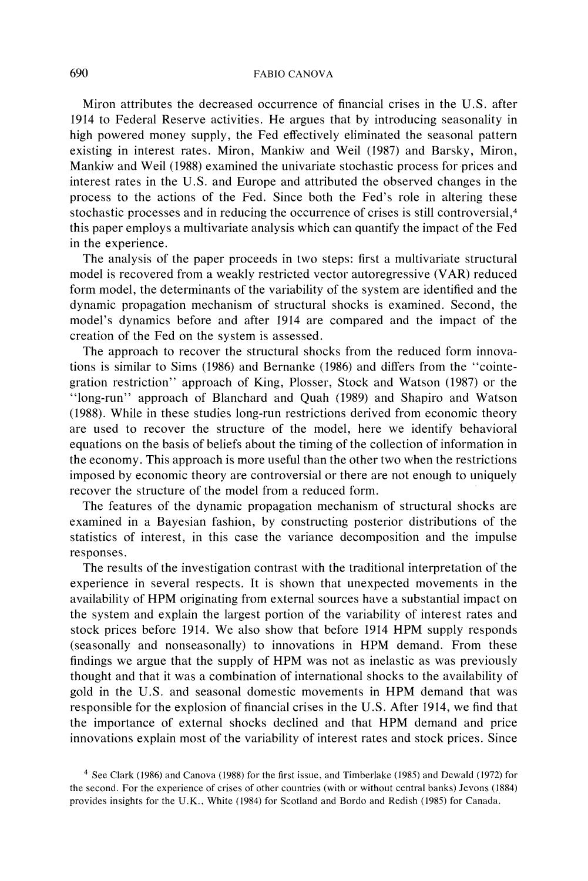**Miron attributes the decreased occurrence of financial crises in the U.S. after 1914 to Federal Reserve activities. He argues that by introducing seasonality in high powered money supply, the Fed effectively eliminated the seasonal pattern existing in interest rates. Miron, Mankiw and Weil (1987) and Barsky, Miron, Mankiw and Weil (1988) examined the univariate stochastic process for prices and interest rates in the U.S. and Europe and attributed the observed changes in the process to the actions of the Fed. Since both the Fed's role in altering these stochastic processes and in reducing the occurrence of crises is still controversial,4 this paper employs a multivariate analysis which can quantify the impact of the Fed in the experience.** 

**The analysis of the paper proceeds in two steps: first a multivariate structural model is recovered from a weakly restricted vector autoregressive (VAR) reduced form model, the determinants of the variability of the system are identified and the dynamic propagation mechanism of structural shocks is examined. Second, the model's dynamics before and after 1914 are compared and the impact of the creation of the Fed on the system is assessed.** 

**The approach to recover the structural shocks from the reduced form innovations is similar to Sims (1986) and Bernanke (1986) and differs from the "cointegration restriction" approach of King, Plosser, Stock and Watson (1987) or the "long-run" approach of Blanchard and Quah (1989) and Shapiro and Watson (1988). While in these studies long-run restrictions derived from economic theory are used to recover the structure of the model, here we identify behavioral equations on the basis of beliefs about the timing of the collection of information in the economy. This approach is more useful than the other two when the restrictions imposed by economic theory are controversial or there are not enough to uniquely recover the structure of the model from a reduced form.** 

**The features of the dynamic propagation mechanism of structural shocks are examined in a Bayesian fashion, by constructing posterior distributions of the statistics of interest, in this case the variance decomposition and the impulse responses.** 

**The results of the investigation contrast with the traditional interpretation of the experience in several respects. It is shown that unexpected movements in the availability of HPM originating from external sources have a substantial impact on the system and explain the largest portion of the variability of interest rates and stock prices before 1914. We also show that before 1914 HPM supply responds (seasonally and nonseasonally) to innovations in HPM demand. From these findings we argue that the supply of HPM was not as inelastic as was previously thought and that it was a combination of international shocks to the availability of gold in the U.S. and seasonal domestic movements in HPM demand that was responsible for the explosion of financial crises in the U.S. After 1914, we find that the importance of external shocks declined and that HPM demand and price innovations explain most of the variability of interest rates and stock prices. Since** 

**<sup>4</sup> See Clark (1986) and Canova (1988) for the first issue, and Timberlake (1985) and Dewald (1972) for the second. For the experience of crises of other countries (with or without central banks) Jevons (1884) provides insights for the U.K., White (1984) for Scotland and Bordo and Redish (1985) for Canada.**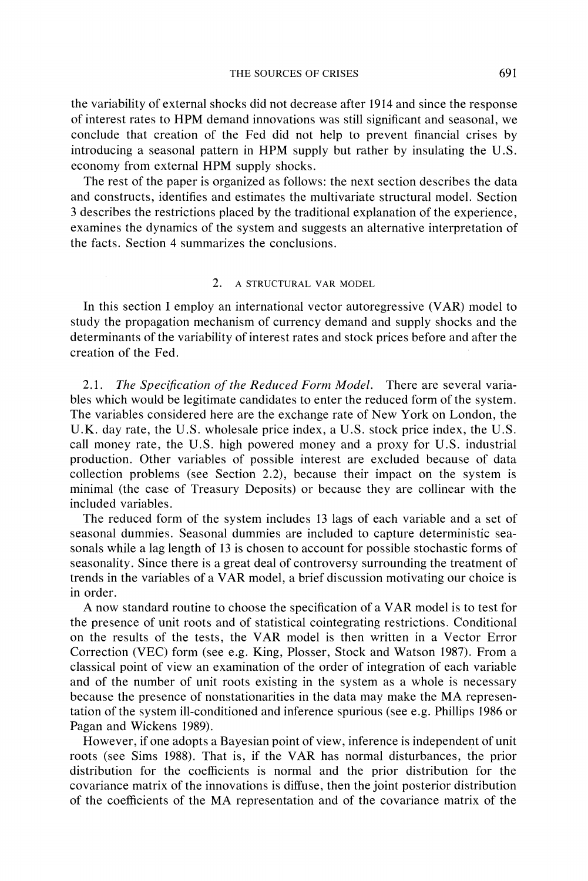**the variability of external shocks did not decrease after 1914 and since the response of interest rates to HPM demand innovations was still significant and seasonal, we conclude that creation of the Fed did not help to prevent financial crises by introducing a seasonal pattern in HPM supply but rather by insulating the U.S. economy from external HPM supply shocks.** 

**The rest of the paper is organized as follows: the next section describes the data and constructs, identifies and estimates the multivariate structural model. Section 3 describes the restrictions placed by the traditional explanation of the experience, examines the dynamics of the system and suggests an alternative interpretation of the facts. Section 4 summarizes the conclusions.** 

#### **2. A STRUCTURAL VAR MODEL**

**In this section I employ an international vector autoregressive (VAR) model to study the propagation mechanism of currency demand and supply shocks and the determinants of the variability of interest rates and stock prices before and after the creation of the Fed.** 

**2.1. The Specification of the Reduced Form Model. There are several variables which would be legitimate candidates to enter the reduced form of the system. The variables considered here are the exchange rate of New York on London, the U.K. day rate, the U.S. wholesale price index, a U.S. stock price index, the U.S. call money rate, the U.S. high powered money and a proxy for U.S. industrial production. Other variables of possible interest are excluded because of data collection problems (see Section 2.2), because their impact on the system is minimal (the case of Treasury Deposits) or because they are collinear with the included variables.** 

**The reduced form of the system includes 13 lags of each variable and a set of seasonal dummies. Seasonal dummies are included to capture deterministic seasonals while a lag length of 13 is chosen to account for possible stochastic forms of seasonality. Since there is a great deal of controversy surrounding the treatment of trends in the variables of a VAR model, a brief discussion motivating our choice is in order.** 

**A now standard routine to choose the specification of a VAR model is to test for the presence of unit roots and of statistical cointegrating restrictions. Conditional on the results of the tests, the VAR model is then written in a Vector Error Correction (VEC) form (see e.g. King, Plosser, Stock and Watson 1987). From a classical point of view an examination of the order of integration of each variable and of the number of unit roots existing in the system as a whole is necessary because the presence of nonstationarities in the data may make the MA representation of the system ill-conditioned and inference spurious (see e.g. Phillips 1986 or Pagan and Wickens 1989).** 

**However, if one adopts a Bayesian point of view, inference is independent of unit roots (see Sims 1988). That is, if the VAR has normal disturbances, the prior distribution for the coefficients is normal and the prior distribution for the covariance matrix of the innovations is diffuse, then the joint posterior distribution of the coefficients of the MA representation and of the covariance matrix of the**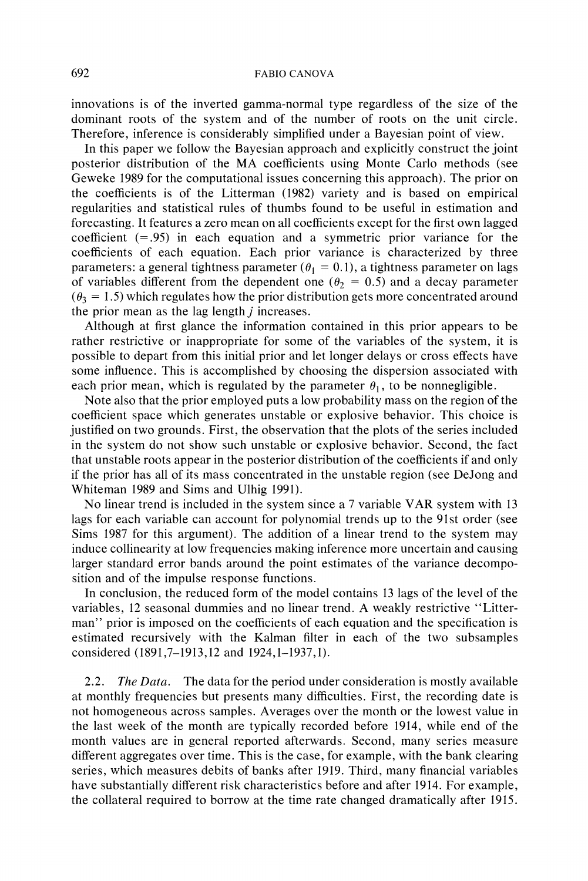**innovations is of the inverted gamma-normal type regardless of the size of the dominant roots of the system and of the number of roots on the unit circle. Therefore, inference is considerably simplified under a Bayesian point of view.** 

**In this paper we follow the Bayesian approach and explicitly construct the joint posterior distribution of the MA coefficients using Monte Carlo methods (see Geweke 1989 for the computational issues concerning this approach). The prior on the coefficients is of the Litterman (1982) variety and is based on empirical regularities and statistical rules of thumbs found to be useful in estimation and forecasting. It features a zero mean on all coefficients except for the first own lagged coefficient (=.95) in each equation and a symmetric prior variance for the coefficients of each equation. Each prior variance is characterized by three**  parameters: a general tightness parameter ( $\theta_1 = 0.1$ ), a tightness parameter on lags of variables different from the dependent one  $(\theta_2 = 0.5)$  and a decay parameter  $(\theta_3 = 1.5)$  which regulates how the prior distribution gets more concentrated around **the prior mean as the lag length j increases.** 

**Although at first glance the information contained in this prior appears to be rather restrictive or inappropriate for some of the variables of the system, it is possible to depart from this initial prior and let longer delays or cross effects have some influence. This is accomplished by choosing the dispersion associated with**  each prior mean, which is regulated by the parameter  $\theta_1$ , to be nonnegligible.

**Note also that the prior employed puts a low probability mass on the region of the coefficient space which generates unstable or explosive behavior. This choice is justified on two grounds. First, the observation that the plots of the series included in the system do not show such unstable or explosive behavior. Second, the fact that unstable roots appear in the posterior distribution of the coefficients if and only if the prior has all of its mass concentrated in the unstable region (see DeJong and Whiteman 1989 and Sims and Ulhig 1991).** 

**No linear trend is included in the system since a 7 variable VAR system with 13 lags for each variable can account for polynomial trends up to the 91st order (see Sims 1987 for this argument). The addition of a linear trend to the system may induce collinearity at low frequencies making inference more uncertain and causing larger standard error bands around the point estimates of the variance decomposition and of the impulse response functions.** 

**In conclusion, the reduced form of the model contains 13 lags of the level of the variables, 12 seasonal dummies and no linear trend. A weakly restrictive "Litterman" prior is imposed on the coefficients of each equation and the specification is estimated recursively with the Kalman filter in each of the two subsamples considered (1891,7-1913,12 and 1924,1-1937,1).** 

**2.2. The Data. The data for the period under consideration is mostly available at monthly frequencies but presents many difficulties. First, the recording date is not homogeneous across samples. Averages over the month or the lowest value in the last week of the month are typically recorded before 1914, while end of the month values are in general reported afterwards. Second, many series measure different aggregates over time. This is the case, for example, with the bank clearing series, which measures debits of banks after 1919. Third, many financial variables have substantially different risk characteristics before and after 1914. For example, the collateral required to borrow at the time rate changed dramatically after 1915.**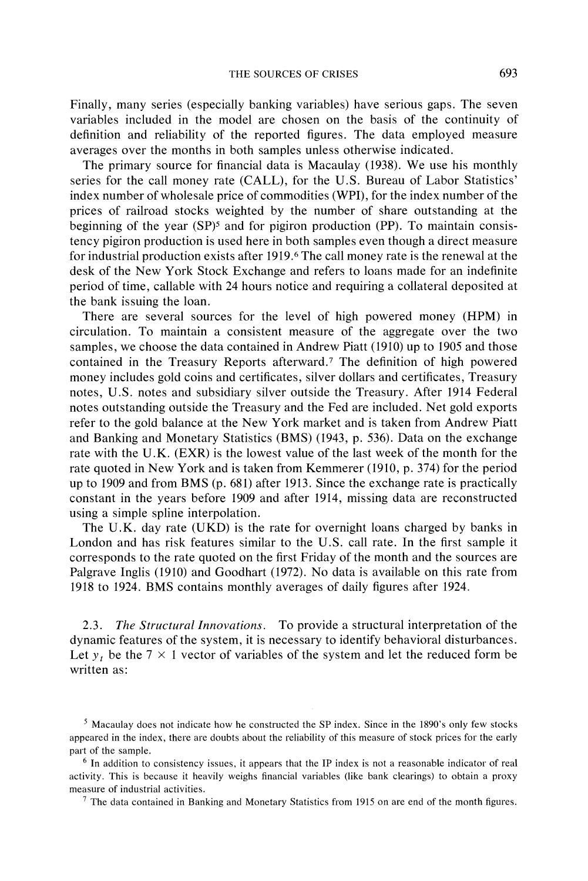**Finally, many series (especially banking variables) have serious gaps. The seven variables included in the model are chosen on the basis of the continuity of definition and reliability of the reported figures. The data employed measure averages over the months in both samples unless otherwise indicated.** 

**The primary source for financial data is Macaulay (1938). We use his monthly series for the call money rate (CALL), for the U.S. Bureau of Labor Statistics' index number of wholesale price of commodities (WPI), for the index number of the prices of railroad stocks weighted by the number of share outstanding at the beginning of the year (SP)5 and for pigiron production (PP). To maintain consistency pigiron production is used here in both samples even though a direct measure for industrial production exists after 1919.6 The call money rate is the renewal at the desk of the New York Stock Exchange and refers to loans made for an indefinite period of time, callable with 24 hours notice and requiring a collateral deposited at the bank issuing the loan.** 

**There are several sources for the level of high powered money (HPM) in circulation. To maintain a consistent measure of the aggregate over the two samples, we choose the data contained in Andrew Piatt (1910) up to 1905 and those contained in the Treasury Reports afterward.7 The definition of high powered money includes gold coins and certificates, silver dollars and certificates, Treasury notes, U.S. notes and subsidiary silver outside the Treasury. After 1914 Federal notes outstanding outside the Treasury and the Fed are included. Net gold exports refer to the gold balance at the New York market and is taken from Andrew Piatt and Banking and Monetary Statistics (BMS) (1943, p. 536). Data on the exchange rate with the U.K. (EXR) is the lowest value of the last week of the month for the rate quoted in New York and is taken from Kemmerer (1910, p. 374) for the period up to 1909 and from BMS (p. 681) after 1913. Since the exchange rate is practically constant in the years before 1909 and after 1914, missing data are reconstructed using a simple spline interpolation.** 

**The U.K. day rate (UKD) is the rate for overnight loans charged by banks in London and has risk features similar to the U.S. call rate. In the first sample it corresponds to the rate quoted on the first Friday of the month and the sources are Palgrave Inglis (1910) and Goodhart (1972). No data is available on this rate from 1918 to 1924. BMS contains monthly averages of daily figures after 1924.** 

**2.3. The Structural Innovations. To provide a structural interpretation of the dynamic features of the system, it is necessary to identify behavioral disturbances.**  Let  $y_t$  be the  $7 \times 1$  vector of variables of the system and let the reduced form be **written as:** 

**7 The data contained in Banking and Monetary Statistics from 1915 on are end of the month figures.** 

**<sup>5</sup> Macaulay does not indicate how he constructed the SP index. Since in the 1890's only few stocks appeared in the index, there are doubts about the reliability of this measure of stock prices for the early part of the sample.** 

**<sup>6</sup> In addition to consistency issues, it appears that the IP index is not a reasonable indicator of real activity. This is because it heavily weighs financial variables (like bank clearings) to obtain a proxy measure of industrial activities.**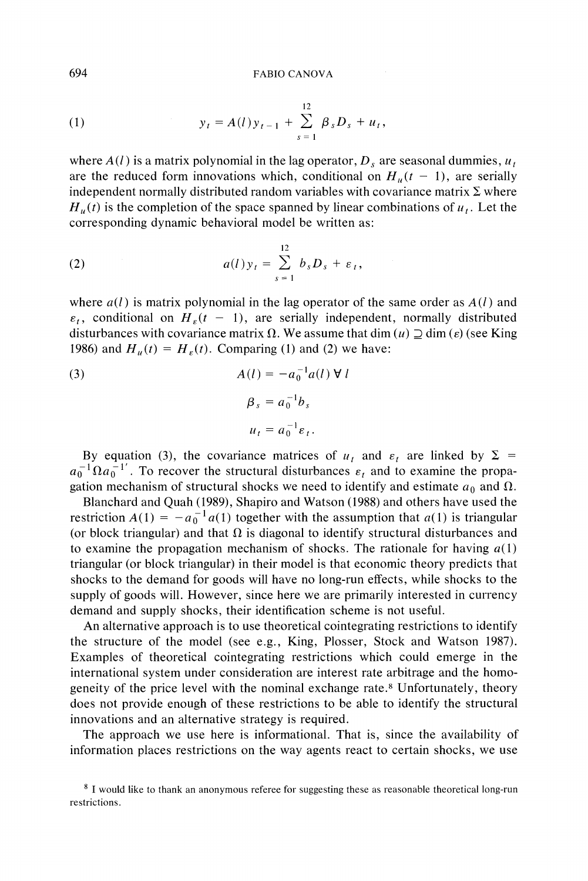(1) 
$$
y_t = A(l)y_{t-1} + \sum_{s=1}^{12} \beta_s D_s + u_t,
$$

where  $A(l)$  is a matrix polynomial in the lag operator,  $D_s$  are seasonal dummies,  $u_t$ are the reduced form innovations which, conditional on  $H_u(t - 1)$ , are serially **independent normally distributed random variables with covariance matrix**  $\Sigma$  **where**  $H_u(t)$  is the completion of the space spanned by linear combinations of  $u_t$ . Let the **corresponding dynamic behavioral model be written as:** 

(2) 
$$
a(l)y_t = \sum_{s=1}^{12} b_s D_s + \varepsilon_t,
$$

where  $a(l)$  is matrix polynomial in the lag operator of the same order as  $A(l)$  and  $\varepsilon_t$ , conditional on  $H_{\varepsilon}(t - 1)$ , are serially independent, normally distributed disturbances with covariance matrix  $\Omega$ . We assume that dim  $(u) \supseteq \dim (\varepsilon)$  (see King **1986)** and  $H_u(t) = H_{\epsilon}(t)$ . Comparing (1) and (2) we have:

(3)  
\n
$$
A(l) = -a_0^{-1}a(l) \forall l
$$
\n
$$
\beta_s = a_0^{-1}b_s
$$
\n
$$
u_t = a_0^{-1}\varepsilon_t.
$$

By equation (3), the covariance matrices of  $u_t$  and  $\varepsilon_t$  are linked by  $\Sigma$  =  $a_0^{-1} \Omega a_0^{-1}$ . To recover the structural disturbances  $\varepsilon_t$  and to examine the propagation mechanism of structural shocks we need to identify and estimate  $a_0$  and  $\Omega$ .

**Blanchard and Quah (1989), Shapiro and Watson (1988) and others have used the restriction**  $A(1) = -a_0^{-1} a(1)$  together with the assumption that  $a(1)$  is triangular (or block triangular) and that  $\Omega$  is diagonal to identify structural disturbances and to examine the propagation mechanism of shocks. The rationale for having  $a(1)$ **triangular (or block triangular) in their model is that economic theory predicts that shocks to the demand for goods will have no long-run effects, while shocks to the supply of goods will. However, since here we are primarily interested in currency demand and supply shocks, their identification scheme is not useful.** 

**An alternative approach is to use theoretical cointegrating restrictions to identify the structure of the model (see e.g., King, Plosser, Stock and Watson 1987). Examples of theoretical cointegrating restrictions which could emerge in the international system under consideration are interest rate arbitrage and the homogeneity of the price level with the nominal exchange rate.8 Unfortunately, theory does not provide enough of these restrictions to be able to identify the structural innovations and an alternative strategy is required.** 

**The approach we use here is informational. That is, since the availability of information places restrictions on the way agents react to certain shocks, we use** 

**<sup>8</sup> I would like to thank an anonymous referee for suggesting these as reasonable theoretical long-run restrictions.**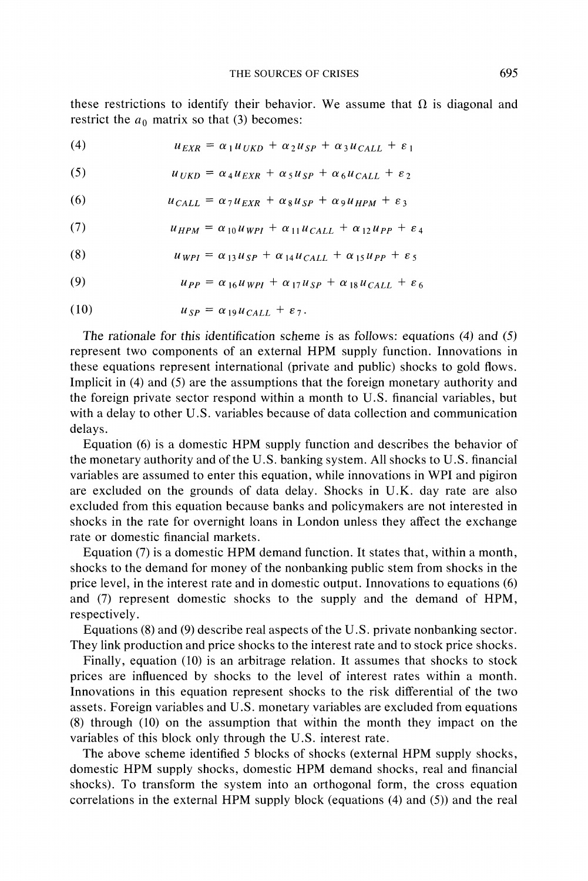these restrictions to identify their behavior. We assume that  $\Omega$  is diagonal and restrict the  $a_0$  matrix so that (3) becomes:

(4)  $u_{EXR} = \alpha_1 u_{UKD} + \alpha_2 u_{SP} + \alpha_3 u_{CALL} + \epsilon_1$ 

(5)  $u_{UKD} = \alpha_4 u_{EXR} + \alpha_5 u_{SP} + \alpha_6 u_{CALL} + \varepsilon_2$ 

(6) 
$$
u_{CALL} = \alpha_7 u_{EXR} + \alpha_8 u_{SP} + \alpha_9 u_{HPM} + \varepsilon_3
$$

(7) 
$$
u_{HPM} = \alpha_{10} u_{WPI} + \alpha_{11} u_{CALL} + \alpha_{12} u_{PP} + \varepsilon_4
$$

(8) 
$$
u_{WPI} = \alpha_{13} u_{SP} + \alpha_{14} u_{CALL} + \alpha_{15} u_{PP} + \varepsilon_5
$$

(9) 
$$
u_{PP} = \alpha_{16} u_{WPI} + \alpha_{17} u_{SP} + \alpha_{18} u_{CALL} + \varepsilon_6
$$

$$
(10) \t\t u_{SP} = \alpha_{19} u_{CALL} + \varepsilon_7.
$$

**The rationale for this identification scheme is as follows: equations (4) and (5) represent two components of an external HPM supply function. Innovations in these equations represent international (private and public) shocks to gold flows. Implicit in (4) and (5) are the assumptions that the foreign monetary authority and the foreign private sector respond within a month to U.S. financial variables, but with a delay to other U.S. variables because of data collection and communication delays.** 

**Equation (6) is a domestic HPM supply function and describes the behavior of the monetary authority and of the U.S. banking system. All shocks to U.S. financial variables are assumed to enter this equation, while innovations in WPI and pigiron are excluded on the grounds of data delay. Shocks in U.K. day rate are also excluded from this equation because banks and policymakers are not interested in shocks in the rate for overnight loans in London unless they affect the exchange rate or domestic financial markets.** 

**Equation (7) is a domestic HPM demand function. It states that, within a month, shocks to the demand for money of the nonbanking public stem from shocks in the price level, in the interest rate and in domestic output. Innovations to equations (6) and (7) represent domestic shocks to the supply and the demand of HPM, respectively.** 

**Equations (8) and (9) describe real aspects of the U.S. private nonbanking sector. They link production and price shocks to the interest rate and to stock price shocks.** 

**Finally, equation (10) is an arbitrage relation. It assumes that shocks to stock prices are influenced by shocks to the level of interest rates within a month. Innovations in this equation represent shocks to the risk differential of the two assets. Foreign variables and U.S. monetary variables are excluded from equations (8) through (10) on the assumption that within the month they impact on the variables of this block only through the U.S. interest rate.** 

**The above scheme identified 5 blocks of shocks (external HPM supply shocks, domestic HPM supply shocks, domestic HPM demand shocks, real and financial shocks). To transform the system into an orthogonal form, the cross equation correlations in the external HPM supply block (equations (4) and (5)) and the real**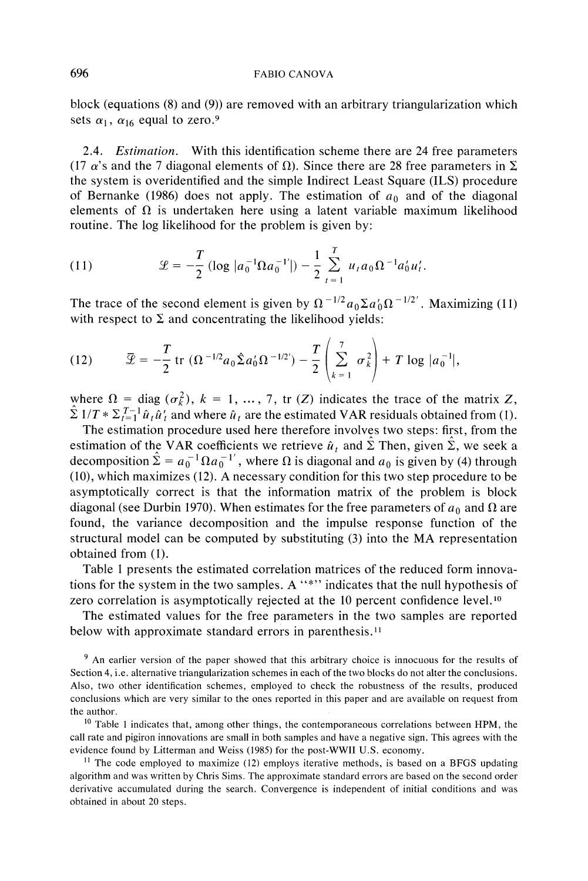**block (equations (8) and (9)) are removed with an arbitrary triangularization which**  sets  $\alpha_1$ ,  $\alpha_{16}$  equal to zero.<sup>9</sup>

**2.4. Estimation. With this identification scheme there are 24 free parameters**  (17  $\alpha$ 's and the 7 diagonal elements of  $\Omega$ ). Since there are 28 free parameters in  $\Sigma$ **the system is overidentified and the simple Indirect Least Square (ILS) procedure**  of Bernanke (1986) does not apply. The estimation of  $a_0$  and of the diagonal elements of  $\Omega$  is undertaken here using a latent variable maximum likelihood **routine. The log likelihood for the problem is given by:** 

(11) 
$$
\mathcal{L} = -\frac{T}{2} \left( \log |a_0^{-1} \Omega a_0^{-1}| \right) - \frac{1}{2} \sum_{t=1}^{T} u_t a_0 \Omega^{-1} a_0' u_t'
$$

The trace of the second element is given by  $\Omega^{-1/2} a_0 \Sigma a_0 \Omega^{-1/2}$ . Maximizing (11) with respect to  $\Sigma$  and concentrating the likelihood yields:

(12) 
$$
\overline{\mathcal{L}} = -\frac{T}{2} \operatorname{tr} (\Omega^{-1/2} a_0 \hat{\Sigma} a_0' \Omega^{-1/2'}) - \frac{T}{2} \left( \sum_{k=1}^7 \sigma_k^2 \right) + T \log |a_0^{-1}|,
$$

where  $\Omega = \text{diag}(\sigma_k^2)$ ,  $k = 1, \dots, 7$ , tr (Z) indicates the trace of the matrix Z,  $\sum I/T * \sum_{t=1}^{T-1} \hat{u}_t \hat{u}'_t$  and where  $\hat{u}_t$  are the estimated VAR residuals obtained from (1).

**The estimation procedure used here therefore involves two steps: first, from the estimation of the VAR coefficients we retrieve**  $\hat{u}_t$  **and**  $\hat{\Sigma}$  **Then, given**  $\hat{\Sigma}$ **, we seek a** decomposition  $\hat{\Sigma} = a_0^{-1} \Omega a_0^{-1}$ , where  $\Omega$  is diagonal and  $a_0$  is given by (4) through **(10), which maximizes (12). A necessary condition for this two step procedure to be asymptotically correct is that the information matrix of the problem is block**  diagonal (see Durbin 1970). When estimates for the free parameters of  $a_0$  and  $\Omega$  are **found, the variance decomposition and the impulse response function of the structural model can be computed by substituting (3) into the MA representation obtained from (1).** 

**Table 1 presents the estimated correlation matrices of the reduced form innovations for the system in the two samples. A "\*" indicates that the null hypothesis of**  zero correlation is asymptotically rejected at the 10 percent confidence level.<sup>10</sup>

**The estimated values for the free parameters in the two samples are reported below with approximate standard errors in parenthesis."** 

**9 An earlier version of the paper showed that this arbitrary choice is innocuous for the results of Section 4, i.e. alternative triangularization schemes in each of the two blocks do not alter the conclusions. Also, two other identification schemes, employed to check the robustness of the results, produced conclusions which are very similar to the ones reported in this paper and are available on request from the author.** 

**10 Table 1 indicates that, among other things, the contemporaneous correlations between HPM, the call rate and pigiron innovations are small in both samples and have a negative sign. This agrees with the evidence found by Litterman and Weiss (1985) for the post-WWII U.S. economy.** 

**11 The code employed to maximize (12) employs iterative methods, is based on a BFGS updating algorithm and was written by Chris Sims. The approximate standard errors are based on the second order derivative accumulated during the search. Convergence is independent of initial conditions and was obtained in about 20 steps.**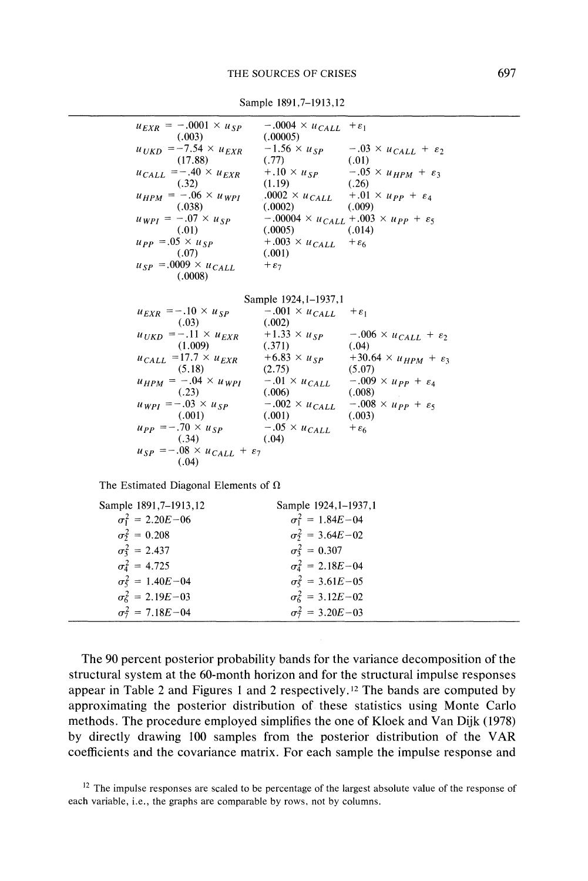| $u_{EXR} = -.0001 \times u_{SP}$                                                              | $-.0004 \times u_{CALL} + \varepsilon_1$  |                                                                 |
|-----------------------------------------------------------------------------------------------|-------------------------------------------|-----------------------------------------------------------------|
| (.003)                                                                                        | (.00005)                                  |                                                                 |
| $u_{UKD}$ = -7.54 $\times u_{EXR}$                                                            |                                           | $-1.56 \times u_{SP}$ $-0.03 \times u_{CALL} + \varepsilon_2$   |
| (17.88)                                                                                       | (.77)                                     | (.01)                                                           |
| $u_{CALL} = -.40 \times u_{EXR}$                                                              |                                           | $+.10 \times u_{SP}$ $-.05 \times u_{HPM} + \varepsilon_3$      |
| (.32)                                                                                         | $(1.19)$ $(.26)$                          |                                                                 |
| $u_{HPM} = -.06 \times u_{WPI}$                                                               |                                           | $0.0002 \times u_{CALL}$ $+ .01 \times u_{PP} + \varepsilon_4$  |
| (.038)                                                                                        | $(.0002)$ $(.009)$                        |                                                                 |
| $u_{WPI} = -.07 \times u_{SP}$                                                                |                                           | $-0.0004 \times u_{CALL} + 0.003 \times u_{PP} + \varepsilon_5$ |
| (0.01)                                                                                        | (.0005)                                   | (.014)                                                          |
| $u_{PP} = 0.05 \times u_{SP}$ + $0.003 \times u_{CALL}$ + $\epsilon_6$                        |                                           |                                                                 |
| (.07)                                                                                         | (.001)                                    |                                                                 |
| $u_{SP} = 0.009 \times u_{CALL}$                                                              | $+\varepsilon_7$                          |                                                                 |
| (.0008)                                                                                       |                                           |                                                                 |
|                                                                                               |                                           |                                                                 |
|                                                                                               | Sample 1924, 1–1937, 1                    |                                                                 |
| $u_{EXR} = -.10 \times u_{SP}$                                                                | $-.001 \times u_{CALL}$ + $\varepsilon_1$ |                                                                 |
| (.03)                                                                                         | (.002)                                    |                                                                 |
| $u_{UKD} = -.11 \times u_{EXR}$ +1.33 $\times u_{SP}$ -.006 $\times u_{CALL} + \varepsilon_2$ |                                           |                                                                 |
| (1.009)                                                                                       | (.371)                                    | (.04)                                                           |
|                                                                                               |                                           |                                                                 |

**Sample 1891,7-1913,12** 

| $u_{EXR} = -.10 \times u_{SP}$                  | $-.001 \times u_{CALL}$ | $+\varepsilon_1$                        |
|-------------------------------------------------|-------------------------|-----------------------------------------|
| (.03)                                           | (.002)                  |                                         |
| $u_{UKD}$ = -.11 $\times u_{EXR}$               | $+1.33 \times u_{SP}$   | $-.006 \times u_{CALL} + \varepsilon_2$ |
| (1.009)                                         | (.371)                  | (.04)                                   |
| $u_{CALL}$ =17.7 $\times u_{EXR}$               | $+6.83 \times u_{SP}$   | $+30.64 \times u_{HPM} + \varepsilon_3$ |
| (5.18)                                          | (2.75)                  | (5.07)                                  |
| $u_{HPM} = -.04 \times u_{WPI}$                 | $-.01 \times u_{CALL}$  | $-.009 \times \mu_{PP} + \varepsilon_4$ |
| (.23)                                           | (.006)                  | (.008)                                  |
| $u_{WPI} = -.03 \times u_{SP}$                  | $-.002 \times u_{CALL}$ | $-.008 \times u_{PP} + \varepsilon_5$   |
| (.001)                                          | (.001)                  | (.003)                                  |
| $u_{PP} = -.70 \times u_{SP}$                   | $-.05 \times u_{CALL}$  | $+\varepsilon_6$                        |
| (.34)                                           | (.04)                   |                                         |
| $u_{SP} = -.08 \times u_{CALL} + \varepsilon_7$ |                         |                                         |
| (.04)                                           |                         |                                         |
|                                                 |                         |                                         |

The Estimated Diagonal Elements of  $\Omega$ 

| Sample 1891, 7–1913, 12   | Sample 1924, 1-1937, 1     |  |
|---------------------------|----------------------------|--|
| $\sigma_1^2 = 2.20E - 06$ | $\sigma_1^2 = 1.84E - 04$  |  |
| $\sigma_2^2 = 0.208$      | $\sigma_2^2 = 3.64E - 02$  |  |
| $\sigma_3^2 = 2.437$      | $\sigma_3^2 = 0.307$       |  |
| $\sigma_4^2 = 4.725$      | $\sigma_4^2 = 2.18E - 04$  |  |
| $\sigma_5^2 = 1.40E - 04$ | $\sigma_5^2 = 3.61E - 0.5$ |  |
| $\sigma_6^2 = 2.19E - 03$ | $\sigma_6^2 = 3.12E - 02$  |  |
| $\sigma_7^2 = 7.18E - 04$ | $\sigma_7^2 = 3.20E - 03$  |  |

**The 90 percent posterior probability bands for the variance decomposition of the structural system at the 60-month horizon and for the structural impulse responses appear in Table 2 and Figures 1 and 2 respectively.12 The bands are computed by approximating the posterior distribution of these statistics using Monte Carlo methods. The procedure employed simplifies the one of Kloek and Van Dijk (1978) by directly drawing 100 samples from the posterior distribution of the VAR coefficients and the covariance matrix. For each sample the impulse response and** 

**<sup>12</sup>The impulse responses are scaled to be percentage of the largest absolute value of the response of each variable, i.e., the graphs are comparable by rows, not by columns.**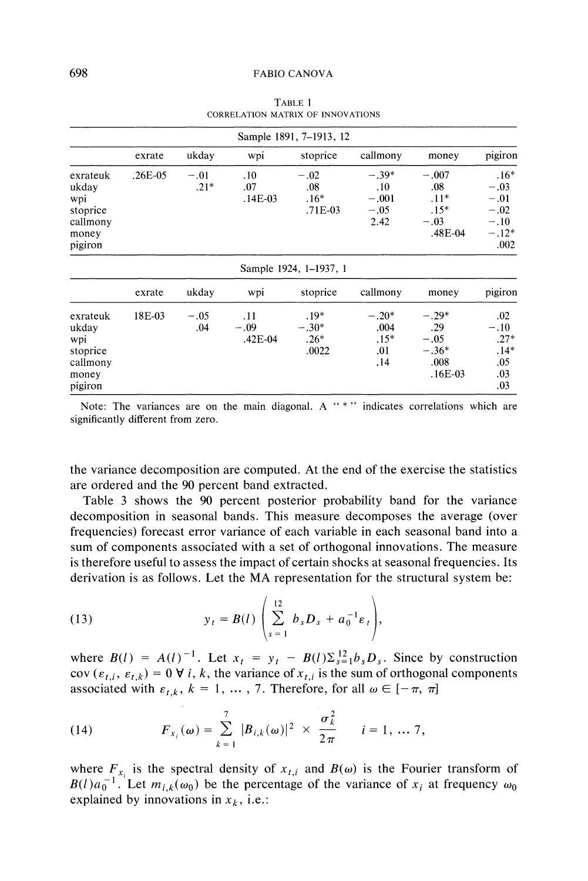| Sample 1891, 7-1913, 12                                              |           |                  |                            |                                      |                                             |                                                          |                                                                   |
|----------------------------------------------------------------------|-----------|------------------|----------------------------|--------------------------------------|---------------------------------------------|----------------------------------------------------------|-------------------------------------------------------------------|
|                                                                      | exrate    | ukday            | wpi                        | stoprice                             | callmony                                    | money                                                    | pigiron                                                           |
| exrateuk<br>ukday<br>wpi<br>stoprice<br>callmony<br>money<br>pigiron | $.26E-05$ | $-.01$<br>$.21*$ | .10<br>.07<br>$.14E-03$    | $-.02$<br>.08<br>$.16*$<br>$.71E-03$ | $-.39*$<br>.10<br>$-.001$<br>$-.05$<br>2.42 | $-.007$<br>.08<br>$.11*$<br>$.15*$<br>$-.03$<br>.48E-04  | $.16*$<br>$-.03$<br>$-.01$<br>$-.02$<br>$-.10$<br>$-.12*$<br>.002 |
|                                                                      |           |                  |                            | Sample 1924, 1-1937, 1               |                                             |                                                          |                                                                   |
|                                                                      | exrate    | ukday            | wpi                        | stoprice                             | callmony                                    | money                                                    | pigiron                                                           |
| exrateuk<br>ukday<br>wpi<br>stoprice<br>callmony<br>money<br>pigiron | 18E-03    | $-.05$<br>.04    | .11<br>$-.09$<br>$.42E-04$ | $.19*$<br>$-.30*$<br>$.26*$<br>.0022 | $-.20*$<br>.004<br>$.15*$<br>.01<br>. 14    | $-.29*$<br>.29<br>$-.05$<br>$-.36*$<br>.008<br>$.16E-03$ | .02<br>$-.10$<br>$.27*$<br>$.14*$<br>.05<br>.03<br>.03            |

**TABLE 1 CORRELATION MATRIX OF INNOVATIONS** 

**Note: The variances are on the main diagonal. A "\*" indicates correlations which are significantly different from zero.** 

**the variance decomposition are computed. At the end of the exercise the statistics are ordered and the 90 percent band extracted.** 

**Table 3 shows the 90 percent posterior probability band for the variance decomposition in seasonal bands. This measure decomposes the average (over frequencies) forecast error variance of each variable in each seasonal band into a sum of components associated with a set of orthogonal innovations. The measure is therefore useful to assess the impact of certain shocks at seasonal frequencies. Its derivation is as follows. Let the MA representation for the structural system be:** 

(13) 
$$
y_t = B(l) \left( \sum_{s=1}^{12} b_s D_s + a_0^{-1} \varepsilon_t \right),
$$

where  $B(l) = A(l)^{-1}$ . Let  $x_t = y_t - B(l)\sum_{s=1}^{12} b_s D_s$ . Since by construction **cov**  $(\varepsilon_{t,i}, \varepsilon_{t,k}) = 0$  **V** *i*, *k*, the variance of  $x_{t,i}$  is the sum of orthogonal components associated with  $\varepsilon_{t,k}$ ,  $k = 1, \ldots, 7$ . Therefore, for all  $\omega \in [-\pi, \pi]$ 

(14) 
$$
F_{x_i}(\omega) = \sum_{k=1}^7 |B_{i,k}(\omega)|^2 \times \frac{\sigma_k^2}{2\pi} \qquad i = 1, \dots, 7,
$$

where  $F_{x_i}$  is the spectral density of  $x_{t,i}$  and  $B(\omega)$  is the Fourier transform of  $B(l)a_0^{-1}$ . Let  $m_{i,k}(\omega_0)$  be the percentage of the variance of  $x_i$  at frequency  $\omega_0$ explained by innovations in  $x_k$ , i.e.: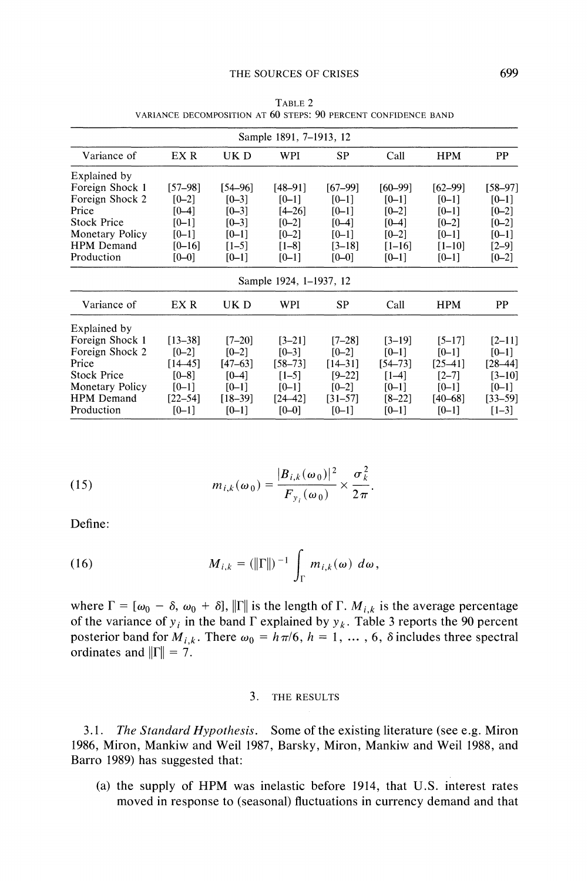|                        |             |             | Sample 1891, 7-1913, 12 |             |             |             |             |
|------------------------|-------------|-------------|-------------------------|-------------|-------------|-------------|-------------|
| Variance of            | EX R        | UK D        | WPI                     | <b>SP</b>   | Call        | <b>HPM</b>  | PP          |
| Explained by           |             |             |                         |             |             |             |             |
| Foreign Shock 1        | [57–98]     | [54–96]     | $[48 - 91]$             | $[67-99]$   | $[60 - 99]$ | $[62 - 99]$ | $[58-97]$   |
| Foreign Shock 2        | $[0 - 2]$   | $[0 - 3]$   | $[0-1]$                 | $[0 - 1]$   | $[0 - 1]$   | $[0-1]$     | $[0-1]$     |
| Price                  | $[0-4]$     | $[0 - 3]$   | $[4 - 26]$              | $[0 - 1]$   | $[0 - 2]$   | $[0-1]$     | $[0 - 2]$   |
| <b>Stock Price</b>     | $[0 - 1]$   | $[0 - 3]$   | $[0-2]$                 | $[0 - 4]$   | $[0 - 4]$   | $[0 - 2]$   | $[0 - 2]$   |
| Monetary Policy        | $[0 - 1]$   | $[0 - 1]$   | $[0 - 2]$               | $[0 - 1]$   | $[0 - 2]$   | $[0 - 1]$   | $[0 - 1]$   |
| <b>HPM</b> Demand      | $[0 - 16]$  | $[1 - 5]$   | $[1-8]$                 | $[3 - 18]$  | $[1 - 16]$  | $[1 - 10]$  | $[2 - 9]$   |
| Production             | $[0 - 0]$   | $[0-1]$     | $[0 - 1]$               | $[0 - 0]$   | $[0 - 1]$   | $[0-1]$     | $[0 - 2]$   |
|                        |             |             | Sample 1924, 1–1937, 12 |             |             |             |             |
| Variance of            | EX R        | UK D        | WPI                     | SP          | Call        | <b>HPM</b>  | PP          |
| Explained by           |             |             |                         |             |             |             |             |
| Foreign Shock 1        | $[13 - 38]$ | $[7 - 20]$  | $[3-21]$                | T7–281      | T3–191      | $[5 - 17]$  | $[2-11]$    |
| Foreign Shock 2        | $[0 - 2]$   | $[0-2]$     | $[0 - 3]$               | $[0 - 2]$   | $[0-1]$     | $[0-1]$     | $[0 - 1]$   |
| Price                  | $[14 - 45]$ | $[47 - 63]$ | $[58 - 73]$             | $[14 - 31]$ | $[54 - 73]$ | $[25 - 41]$ | $[28 - 44]$ |
| <b>Stock Price</b>     | $[0 - 8]$   | $[0 - 4]$   | $[1-5]$                 | $[9 - 22]$  | $[1-4]$     | $[2 - 7]$   | $[3 - 10]$  |
| <b>Monetary Policy</b> | $[0-1]$     | $[0 - 1]$   | $[0 - 1]$               | $[0 - 2]$   | $[0 - 1]$   | $[0 - 1]$   | $[0-1]$     |
| <b>HPM</b> Demand      | $[22 - 54]$ | $[18 - 39]$ | $[24 - 42]$             | $[31 - 57]$ | $[8 - 22]$  | $[40 - 68]$ | $[33 - 59]$ |
| Production             | $[0 - 1]$   | $[0 - 1]$   | $[0 - 0]$               | $[0 - 1]$   | $[0 - 1]$   | $[0-1]$     | $[1-3]$     |

**TABLE 2 VARIANCE DECOMPOSITION AT 60 STEPS: 90 PERCENT CONFIDENCE BAND** 

(15) 
$$
m_{i,k}(\omega_0) = \frac{|B_{i,k}(\omega_0)|^2}{F_{y_i}(\omega_0)} \times \frac{\sigma_k^2}{2\pi}.
$$

**Define:** 

(16) 
$$
M_{i,k} = (||\Gamma||)^{-1} \int_{\Gamma} m_{i,k}(\omega) d\omega,
$$

where  $\Gamma = [\omega_0 - \delta, \omega_0 + \delta], \|\Gamma\|$  is the length of  $\Gamma$ .  $M_{i,k}$  is the average percentage of the variance of  $y_i$  in the band  $\Gamma$  explained by  $y_k$ . Table 3 reports the 90 percent **posterior band for**  $M_{i,k}$ **. There**  $\omega_0 = h \pi/6$ **,**  $h = 1, \dots, 6$ **,**  $\delta$  **includes three spectral** ordinates and  $\|\Gamma\| = 7$ .

#### **3. THE RESULTS**

**3.1. The Standard Hypothesis. Some of the existing literature (see e.g. Miron 1986, Miron, Mankiw and Weil 1987, Barsky, Miron, Mankiw and Weil 1988, and Barro 1989) has suggested that:** 

**(a) the supply of HPM was inelastic before 1914, that U.S. interest rates moved in response to (seasonal) fluctuations in currency demand and that**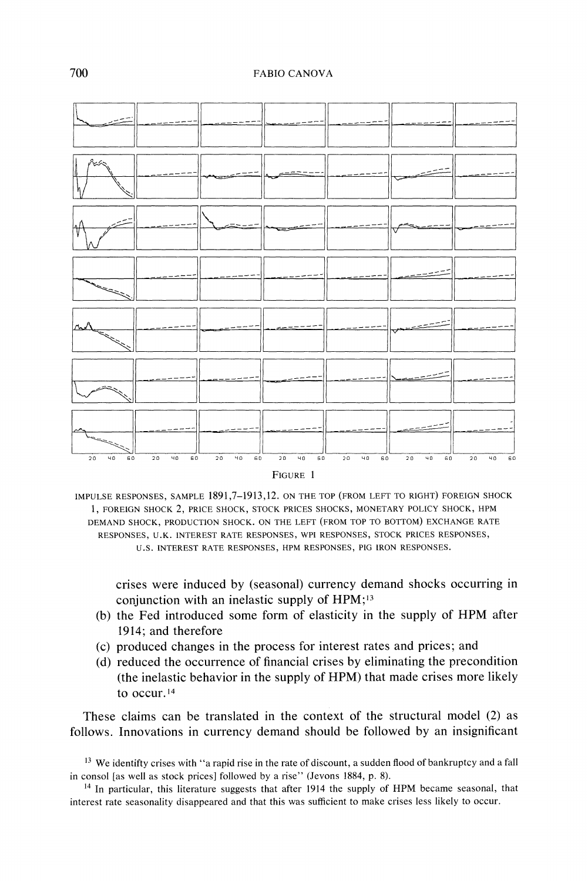

**IMPULSE RESPONSES, SAMPLE 1891,7-1913,12. ON THE TOP (FROM LEFT TO RIGHT) FOREIGN SHOCK 1, FOREIGN SHOCK 2, PRICE SHOCK, STOCK PRICES SHOCKS, MONETARY POLICY SHOCK, HPM DEMAND SHOCK, PRODUCTION SHOCK. ON THE LEFT (FROM TOP TO BOTTOM) EXCHANGE RATE RESPONSES, U.K. INTEREST RATE RESPONSES, WPI RESPONSES, STOCK PRICES RESPONSES, U.S. INTEREST RATE RESPONSES, HPM RESPONSES, PIG IRON RESPONSES.** 

**crises were induced by (seasonal) currency demand shocks occurring in conjunction with an inelastic supply of HPM;13** 

- **(b) the Fed introduced some form of elasticity in the supply of HPM after 1914; and therefore**
- **(c) produced changes in the process for interest rates and prices; and**
- **(d) reduced the occurrence of financial crises by eliminating the precondition (the inelastic behavior in the supply of HPM) that made crises more likely to occur. <sup>14</sup>**

**These claims can be translated in the context of the structural model (2) as follows. Innovations in currency demand should be followed by an insignificant** 

**<sup>13</sup>We identifty crises with "a rapid rise in the rate of discount, a sudden flood of bankruptcy and a fall in consol [as well as stock prices] followed by a rise" (Jevons 1884, p. 8).** 

**<sup>14</sup>In particular, this literature suggests that after 1914 the supply of HPM became seasonal, that interest rate seasonality disappeared and that this was sufficient to make crises less likely to occur.**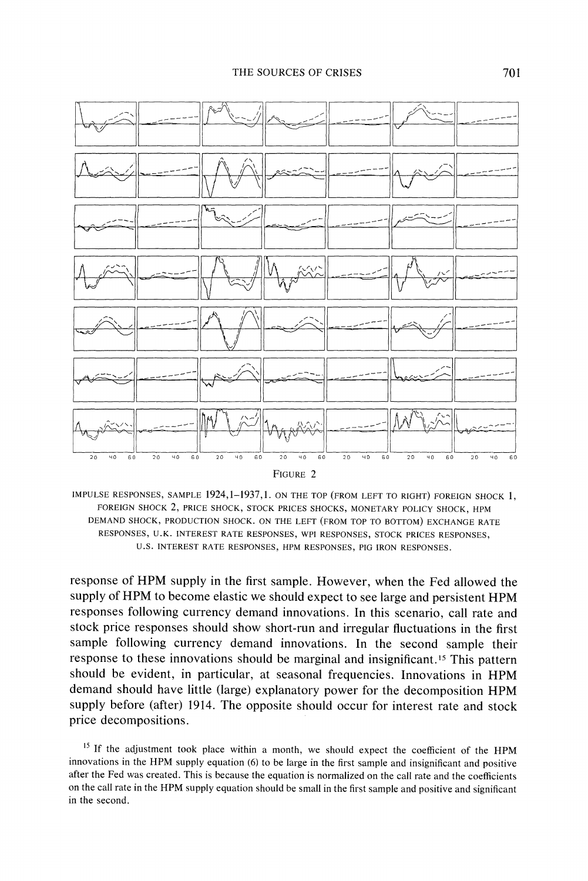

| FIGURE 2 |  |
|----------|--|
|----------|--|

IMPULSE RESPONSES, SAMPLE 1924, 1-1937, 1. ON THE TOP (FROM LEFT TO RIGHT) FOREIGN SHOCK 1, FOREIGN SHOCK 2, PRICE SHOCK, STOCK PRICES SHOCKS, MONETARY POLICY SHOCK, HPM **DEMAND SHOCK, PRODUCTION SHOCK. ON THE LEFT (FROM TOP TO BOTTOM) EXCHANGE RATE**  RESPONSES, U.K. INTEREST RATE RESPONSES, WPI RESPONSES, STOCK PRICES RESPONSES, **U.S. INTEREST RATE RESPONSES, HPM RESPONSES, PIG IRON RESPONSES.** 

**response of HPM supply in the first sample. However, when the Fed allowed the supply of HPM to become elastic we should expect to see large and persistent HPM responses following currency demand innovations. In this scenario, call rate and stock price responses should show short-run and irregular fluctuations in the first sample following currency demand innovations. In the second sample their response to these innovations should be marginal and insignificant.15 This pattern should be evident, in particular, at seasonal frequencies. Innovations in HPM demand should have little (large) explanatory power for the decomposition HPM supply before (after) 1914. The opposite should occur for interest rate and stock price decompositions.** 

**<sup>15</sup>If the adjustment took place within a month, we should expect the coefficient of the HPM innovations in the HPM supply equation (6) to be large in the first sample and insignificant and positive after the Fed was created. This is because the equation is normalized on the call rate and the coefficients on the call rate in the HPM supply equation should be small in the first sample and positive and significant in the second.**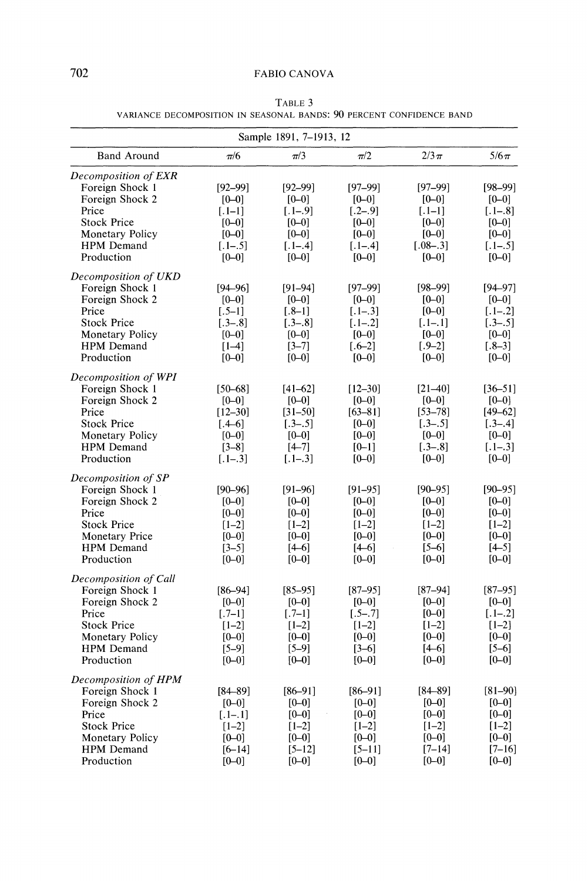| Sample 1891, 7-1913, 12                                                                                                                                 |                                                                                            |                                                                                               |                                                                                           |                                                                                                 |                                                                                               |  |
|---------------------------------------------------------------------------------------------------------------------------------------------------------|--------------------------------------------------------------------------------------------|-----------------------------------------------------------------------------------------------|-------------------------------------------------------------------------------------------|-------------------------------------------------------------------------------------------------|-----------------------------------------------------------------------------------------------|--|
| <b>Band Around</b>                                                                                                                                      | $\pi/6$                                                                                    | $\pi/3$                                                                                       | $\pi/2$                                                                                   | $2/3\pi$                                                                                        | $5/6\pi$                                                                                      |  |
| Decomposition of EXR<br>Foreign Shock 1<br>Foreign Shock 2<br>Price<br><b>Stock Price</b><br><b>Monetary Policy</b><br>HPM Demand<br>Production         | $[92 - 99]$<br>$[0 - 0]$<br>$[.1-1]$<br>$[0 - 0]$<br>$[0 - 0]$<br>$[-1-.5]$<br>$[0 - 0]$   | $[92 - 99]$<br>$[0 - 0]$<br>$[.1-.9]$<br>$[0 - 0]$<br>$[0 - 0]$<br>$[-1-.4]$<br>$[0 - 0]$     | $[97 - 99]$<br>$[0 - 0]$<br>$[-2-.9]$<br>$[0 - 0]$<br>$[0 - 0]$<br>$[-1-.4]$<br>$[0 - 0]$ | $[97 - 99]$<br>$[0 - 0]$<br>$[.1-1]$<br>$[0 - 0]$<br>$[0 - 0]$<br>$[.08-.3]$<br>$[0 - 0]$       | $[98 - 99]$<br>$[0 - 0]$<br>$[-1-.8]$<br>$[0 - 0]$<br>$[0 - 0]$<br>$[-1-.5]$<br>$[0 - 0]$     |  |
| Decomposition of UKD<br>Foreign Shock 1<br>Foreign Shock 2<br>Price<br><b>Stock Price</b><br><b>Monetary Policy</b><br><b>HPM</b> Demand<br>Production  | $[94 - 96]$<br>$[0 - 0]$<br>$-.5-1]$<br>$[-3 - .8]$<br>$[0 - 0]$<br>$[1-4]$<br>$[0 - 0]$   | $[91 - 94]$<br>$[0 - 0]$<br>$1.8 - 11$<br>$[-3 - .8]$<br>$[0 - 0]$<br>$[3 - 7]$<br>$[0 - 0]$  | $[97 - 99]$<br>$[0 - 0]$<br>$[.1-.3]$<br>$[-1-.2]$<br>$[0 - 0]$<br>$[-6-2]$<br>$[0 - 0]$  | $[98 - 99]$<br>$[0 - 0]$<br>$[0-0]$<br>$[-1-.1]$<br>$[0 - 0]$<br>$[-9-2]$<br>$[0 - 0]$          | $[94 - 97]$<br>$[0 - 0]$<br>$[.1-.2]$<br>$[-3 - .5]$<br>$[0 - 0]$<br>$[-8-3]$<br>$[0 - 0]$    |  |
| Decomposition of WPI<br>Foreign Shock 1<br>Foreign Shock 2<br>Price<br><b>Stock Price</b><br><b>Monetary Policy</b><br><b>HPM</b> Demand<br>Production  | $[50 - 68]$<br>$[0 - 0]$<br>$[12 - 30]$<br>$[.4 - 6]$<br>$[0 - 0]$<br>$[3-8]$<br>$[-1-.3]$ | $[41 - 62]$<br>$[0 - 0]$<br>$[31 - 50]$<br>$[-3 - .5]$<br>$[0 - 0]$<br>$[4 - 7]$<br>$[-1-.3]$ | $[12 - 30]$<br>$[0 - 0]$<br>$[63 - 81]$<br>$[0 - 0]$<br>$[0-0]$<br>$[0 - 1]$<br>$[0 - 0]$ | $[21 - 40]$<br>$[0 - 0]$<br>$[53 - 78]$<br>$[-3 - .5]$<br>$[0 - 0]$<br>$[-3 - .8]$<br>$[0 - 0]$ | $[36 - 51]$<br>$[0 - 0]$<br>$[49 - 62]$<br>$[-3 - .4]$<br>$[0 - 0]$<br>$[.1-.3]$<br>$[0 - 0]$ |  |
| Decomposition of SP<br>Foreign Shock 1<br>Foreign Shock 2<br>Price<br><b>Stock Price</b><br><b>Monetary Price</b><br><b>HPM</b> Demand<br>Production    | $[90 - 96]$<br>$[0 - 0]$<br>$[0 - 0]$<br>$[1-2]$<br>$[0 - 0]$<br>$[3-5]$<br>$[0 - 0]$      | $[91 - 96]$<br>$[0 - 0]$<br>$[0 - 0]$<br>$[1-2]$<br>$[0 - 0]$<br>$[4 - 6]$<br>$[0 - 0]$       | $[91 - 95]$<br>$[0 - 0]$<br>$[0 - 0]$<br>$[1-2]$<br>$[0 - 0]$<br>$[4 - 6]$<br>$[0 - 0]$   | $[90 - 95]$<br>$[0 - 0]$<br>$[0 - 0]$<br>$[1-2]$<br>$[0 - 0]$<br>$[5-6]$<br>$[0 - 0]$           | $[90 - 95]$<br>$[0 - 0]$<br>$[0 - 0]$<br>$[1-2]$<br>$[0 - 0]$<br>$[4 - 5]$<br>$[0 - 0]$       |  |
| Decomposition of Call<br>Foreign Shock 1<br>Foreign Shock 2<br>Price<br><b>Stock Price</b><br><b>Monetary Policy</b><br><b>HPM</b> Demand<br>Production | $[86 - 94]$<br>$[0 - 0]$<br>$-.7-1]$<br>$[1-2]$<br>$[0 - 0]$<br>$[5 - 9]$<br>$[0 - 0]$     | $[85 - 95]$<br>$[0 - 0]$<br>$[-7-1]$<br>$[1-2]$<br>$[0 - 0]$<br>$[5 - 9]$<br>$[0 - 0]$        | $[87 - 95]$<br>$[0 - 0]$<br>$[-5-.7]$<br>$[1-2]$<br>$[0 - 0]$<br>$[3-6]$<br>$[0 - 0]$     | $[87 - 94]$<br>$[0 - 0]$<br>$[0 - 0]$<br>$[1-2]$<br>$[0 - 0]$<br>$[4 - 6]$<br>$[0 - 0]$         | $[87 - 95]$<br>$[0 - 0]$<br>$[.1-.2]$<br>$[1-2]$<br>$[0 - 0]$<br>$[5-6]$<br>$[0 - 0]$         |  |
| Decomposition of HPM<br>Foreign Shock 1<br>Foreign Shock 2<br>Price<br><b>Stock Price</b><br><b>Monetary Policy</b><br><b>HPM</b> Demand<br>Production  | $[84 - 89]$<br>$[0 - 0]$<br>$[.1 - .1]$<br>$[1-2]$<br>$[0 - 0]$<br>$[6 - 14]$<br>$[0 - 0]$ | $[86 - 91]$<br>$[0 - 0]$<br>$[0 - 0]$<br>$[1-2]$<br>$[0 - 0]$<br>$[5 - 12]$<br>$[0 - 0]$      | $[86 - 91]$<br>$[0 - 0]$<br>$[0 - 0]$<br>$[1-2]$<br>$[0 - 0]$<br>$[5 - 11]$<br>$[0 - 0]$  | $[84 - 89]$<br>$[0 - 0]$<br>$[0 - 0]$<br>$[1-2]$<br>$[0 - 0]$<br>$[7 - 14]$<br>$[0 - 0]$        | $[81 - 90]$<br>$[0 - 0]$<br>$[0 - 0]$<br>$[1-2]$<br>$[0 - 0]$<br>$[7-16]$<br>$[0 - 0]$        |  |

**TABLE 3 VARIANCE DECOMPOSITION IN SEASONAL BANDS: 90 PERCENT CONFIDENCE BAND**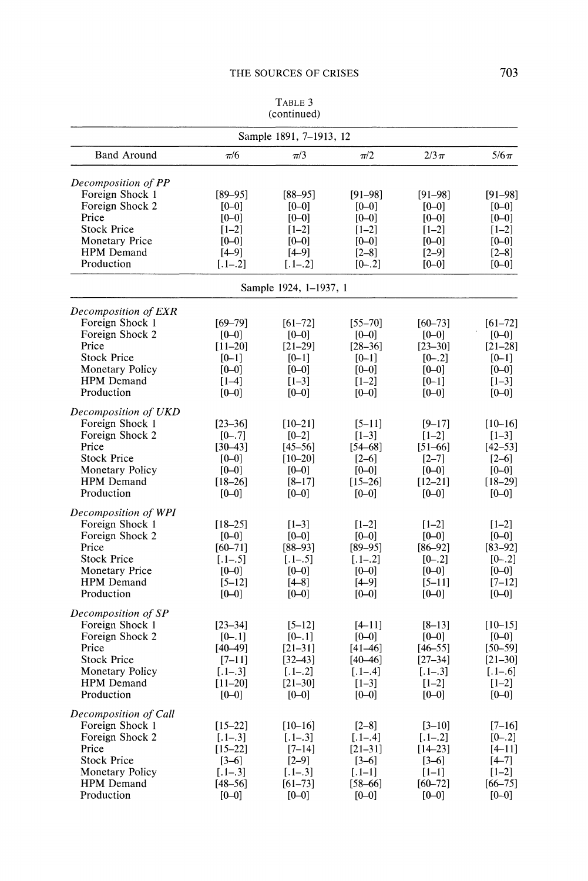|                                                                                                                                                      |                                                                                              | (continued)                                                                                    |                                                                                            |                                                                                            |                                                                                               |  |  |
|------------------------------------------------------------------------------------------------------------------------------------------------------|----------------------------------------------------------------------------------------------|------------------------------------------------------------------------------------------------|--------------------------------------------------------------------------------------------|--------------------------------------------------------------------------------------------|-----------------------------------------------------------------------------------------------|--|--|
| Sample 1891, 7–1913, 12                                                                                                                              |                                                                                              |                                                                                                |                                                                                            |                                                                                            |                                                                                               |  |  |
| <b>Band Around</b>                                                                                                                                   | $\pi/6$                                                                                      | $\pi/3$                                                                                        | $\pi/2$                                                                                    | $2/3\pi$                                                                                   | $5/6\pi$                                                                                      |  |  |
| Decomposition of PP<br>Foreign Shock 1<br>Foreign Shock 2<br>Price<br><b>Stock Price</b><br><b>Monetary Price</b><br><b>HPM</b> Demand<br>Production | $[89 - 95]$<br>$[0 - 0]$<br>$[0 - 0]$<br>$[1-2]$<br>$[0 - 0]$<br>$[4-9]$<br>$[.1-.2]$        | $[88 - 95]$<br>$[0 - 0]$<br>$[0 - 0]$<br>$[1-2]$<br>$[0 - 0]$<br>$[4-9]$<br>$[.1-.2]$          | $[91 - 98]$<br>$[0 - 0]$<br>$[0 - 0]$<br>$[1-2]$<br>$[0 - 0]$<br>$[2-8]$<br>$[0-.2]$       | $[91 - 98]$<br>$[0-0]$<br>$[0 - 0]$<br>$[1-2]$<br>$[0 - 0]$<br>$[2-9]$<br>$[0 - 0]$        | $[91 - 98]$<br>$[0-0]$<br>$[0 - 0]$<br>$[1-2]$<br>$[0 - 0]$<br>$[2-8]$<br>$[0 - 0]$           |  |  |
|                                                                                                                                                      |                                                                                              | Sample 1924, 1-1937, 1                                                                         |                                                                                            |                                                                                            |                                                                                               |  |  |
| Decomposition of EXR                                                                                                                                 |                                                                                              |                                                                                                |                                                                                            |                                                                                            |                                                                                               |  |  |
| Foreign Shock 1<br>Foreign Shock 2<br>Price<br><b>Stock Price</b><br>Monetary Policy<br>HPM Demand<br>Production                                     | $[69 - 79]$<br>$[0 - 0]$<br>$[11-20]$<br>$[0 - 1]$<br>$[0 - 0]$<br>$[1 - 4]$<br>$[0 - 0]$    | $[61 - 72]$<br>$[0 - 0]$<br>$[21 - 29]$<br>$[0 - 1]$<br>$[0 - 0]$<br>$[1-3]$<br>$[0 - 0]$      | $[55 - 70]$<br>$[0 - 0]$<br>$[28 - 36]$<br>$[0-1]$<br>$[0 - 0]$<br>$[1-2]$<br>$[0 - 0]$    | $[60 - 73]$<br>$[0 - 0]$<br>$[23 - 30]$<br>$[0-.2]$<br>$[0 - 0]$<br>$[0 - 1]$<br>$[0 - 0]$ | $[61 - 72]$<br>$[0 - 0]$<br>$[21 - 28]$<br>$[0-1]$<br>$[0 - 0]$<br>$[1-3]$<br>$[0 - 0]$       |  |  |
| Decomposition of UKD<br>Foreign Shock 1<br>Foreign Shock 2<br>Price<br><b>Stock Price</b><br>Monetary Policy<br>HPM Demand<br>Production             | $[23 - 36]$<br>$[0-.7]$<br>$[30 - 43]$<br>$[0 - 0]$<br>$[0 - 0]$<br>$[18 - 26]$<br>$[0 - 0]$ | $[10 - 21]$<br>$[0 - 2]$<br>$[45 - 56]$<br>$[10 - 20]$<br>$[0 - 0]$<br>$[8 - 17]$<br>$[0 - 0]$ | $[5 - 11]$<br>$[1-3]$<br>$[54 - 68]$<br>$[2-6]$<br>$[0 - 0]$<br>$[15 - 26]$<br>$[0 - 0]$   | $[9 - 17]$<br>$[1-2]$<br>$[51-66]$<br>$[2 - 7]$<br>$[0 - 0]$<br>$[12 - 21]$<br>$[0 - 0]$   | $[10 - 16]$<br>$[1-3]$<br>$[42 - 53]$<br>$[2-6]$<br>$[0 - 0]$<br>$[18 - 29]$<br>$[0 - 0]$     |  |  |
| Decomposition of WPI<br>Foreign Shock 1<br>Foreign Shock 2<br>Price<br><b>Stock Price</b><br><b>Monetary Price</b><br>HPM Demand<br>Production       | $[18 - 25]$<br>$[0 - 0]$<br>$[60 - 71]$<br>$[.1-.5]$<br>$[0 - 0]$<br>$[5 - 12]$<br>$[0 - 0]$ | $[1-3]$<br>$[0 - 0]$<br>$[88 - 93]$<br>$[.1-.5]$<br>$[0 - 0]$<br>$[4 - 8]$<br>$[0 - 0]$        | $[1-2]$<br>$[0 - 0]$<br>$[89 - 95]$<br>$[.1-.2]$<br>$[0 - 0]$<br>$[4 - 9]$<br>$[0 - 0]$    | $[1-2]$<br>$[0 - 0]$<br>$[86 - 92]$<br>$[0-.2]$<br>$[0 - 0]$<br>$[5 - 11]$<br>$[0 - 0]$    | $[1-2]$<br>$[0 - 0]$<br>$[83 - 92]$<br>$[0-.2]$<br>$[0 - 0]$<br>$[7 - 12]$<br>$[0 - 0]$       |  |  |
| Decomposition of SP<br>Foreign Shock 1<br>Foreign Shock 2<br>Price<br><b>Stock Price</b><br>Monetary Policy<br><b>HPM</b> Demand<br>Production       | $[23 - 34]$<br>$[0-.1]$<br>$[40 - 49]$<br>$[7-11]$<br>$[.1-.3]$<br>$[11 - 20]$<br>$[0 - 0]$  | $[5 - 12]$<br>$[0-.1]$<br>$[21 - 31]$<br>$[32 - 43]$<br>$[.1-.2]$<br>$[21 - 30]$<br>$[0 - 0]$  | $[4 - 11]$<br>$[0 - 0]$<br>$[41 - 46]$<br>$[40 - 46]$<br>$[.1-.4]$<br>$[1-3]$<br>$[0 - 0]$ | $[8-13]$<br>$[0 - 0]$<br>$[46 - 55]$<br>$[27 - 34]$<br>$[.1-.3]$<br>$[1-2]$<br>$[0 - 0]$   | $[10 - 15]$<br>$[0 - 0]$<br>$[50 - 59]$<br>$[21 - 30]$<br>$[.1 - .6]$<br>$[1-2]$<br>$[0 - 0]$ |  |  |
| Decomposition of Call<br>Foreign Shock 1<br>Foreign Shock 2<br>Price<br><b>Stock Price</b><br><b>Monetary Policy</b><br>HPM Demand<br>Production     | $[15 - 22]$<br>$[.1-.3]$<br>$[15 - 22]$<br>$[3-6]$<br>$[-1-.3]$<br>[48–56]<br>$[0 - 0]$      | $[10 - 16]$<br>$[.1-.3]$<br>$[7 - 14]$<br>$[2 - 9]$<br>$[.1-.3]$<br>$[61 - 73]$<br>$[0 - 0]$   | $[2-8]$<br>$[.1-.4]$<br>$[21 - 31]$<br>$[3-6]$<br>$[.1-1]$<br>$[58 - 66]$<br>$[0 - 0]$     | $[3 - 10]$<br>$[.1-.2]$<br>$[14 - 23]$<br>$[3-6]$<br>$[1-1]$<br>$[60 - 72]$<br>$[0 - 0]$   | $[7-16]$<br>$[0-.2]$<br>$[4 - 11]$<br>$[4 - 7]$<br>$[1-2]$<br>$[66 - 75]$<br>$[0 - 0]$        |  |  |

**TABLE 3**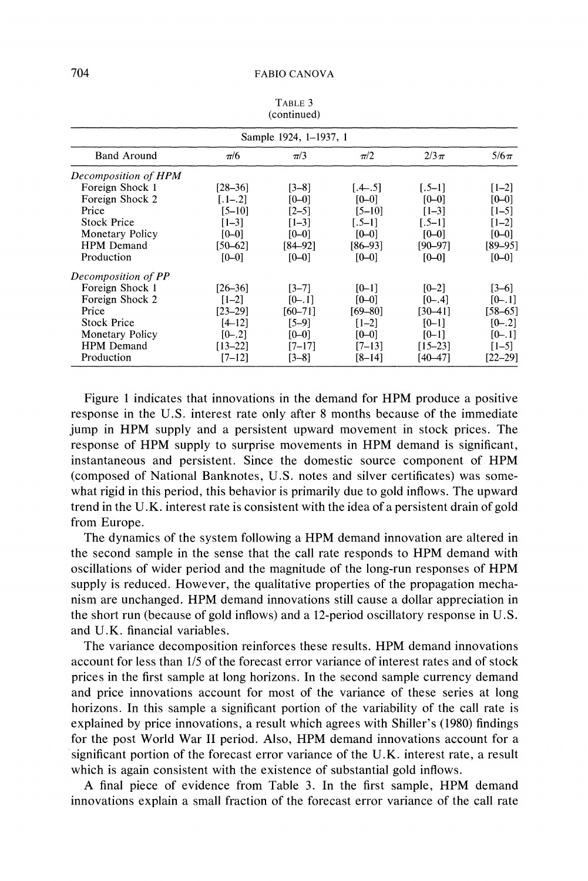| Sample 1924, 1–1937, 1 |             |             |           |             |             |  |
|------------------------|-------------|-------------|-----------|-------------|-------------|--|
| <b>Band Around</b>     | $\pi/6$     | $\pi/3$     | $\pi/2$   | $2/3\pi$    | $5/6\pi$    |  |
| Decomposition of HPM   |             |             |           |             |             |  |
| Foreign Shock 1        | [28–36]     | [3–8]       | $[-4-.5]$ | $[-5-1]$    | $[1-2]$     |  |
| Foreign Shock 2        | $[-1, 2]$   | $[0 - 0]$   | $[0 - 0]$ | $[0 - 0]$   | $[0 - 0]$   |  |
| Price                  | [5–10]      | $[2-5]$     | [5–10]    | $[1-3]$     | $[1 - 5]$   |  |
| <b>Stock Price</b>     | $[1-3]$     | $[1-3]$     | $[-5-1]$  | $5-11$      | $[1-2]$     |  |
| Monetary Policy        | $[0 - 0]$   | $[0 - 0]$   | $[0 - 0]$ | $[0 - 0]$   | $[0 - 0]$   |  |
| <b>HPM</b> Demand      | $[50 - 62]$ | [84–92]     | [86–93]   | 190–971     | $[89 - 95]$ |  |
| Production             | $[0 - 0]$   | $[0 - 0]$   | $[0 - 0]$ | $[0 - 0]$   | $[0 - 0]$   |  |
| Decomposition of PP    |             |             |           |             |             |  |
| Foreign Shock 1        | [26–36]     | $[3-7]$     | $[0 - 1]$ | $[0 - 2]$   | $[3-6]$     |  |
| Foreign Shock 2        | $[1-2]$     | $[0-.1]$    | $[0 - 0]$ | $[0-.4]$    | $[0-.1]$    |  |
| Price                  | $[23 - 29]$ | $[60 - 71]$ | [69–80]   | [30–41]     | $[58 - 65]$ |  |
| <b>Stock Price</b>     | $[4 - 12]$  | [5–9]       | $[1-2]$   | $[0-1]$     | $[0-.2]$    |  |
| Monetary Policy        | $[0-.2]$    | $[0 - 0]$   | [0-0]     | $[0 - 1]$   | $[0-.1]$    |  |
| <b>HPM</b> Demand      | $[13 - 22]$ | [7–17]      | $[7-13]$  | $[15 - 23]$ | $[1-5]$     |  |
| Production             | $[7 - 12]$  | [3–8]       | [8–14]    | [40–47]     | $[22 - 29]$ |  |

**TABLE 3 (continued)** 

**Figure 1 indicates that innovations in the demand for HPM produce a positive response in the U.S. interest rate only after 8 months because of the immediate jump in HPM supply and a persistent upward movement in stock prices. The response of HPM supply to surprise movements in HPM demand is significant, instantaneous and persistent. Since the domestic source component of HPM (composed of National Banknotes, U.S. notes and silver certificates) was somewhat rigid in this period, this behavior is primarily due to gold inflows. The upward trend in the U.K. interest rate is consistent with the idea of a persistent drain of gold from Europe.** 

**The dynamics of the system following a HPM demand innovation are altered in the second sample in the sense that the call rate responds to HPM demand with oscillations of wider period and the magnitude of the long-run responses of HPM supply is reduced. However, the qualitative properties of the propagation mechanism are unchanged. HPM demand innovations still cause a dollar appreciation in the short run (because of gold inflows) and a 12-period oscillatory response in U.S. and U.K. financial variables.** 

**The variance decomposition reinforces these results. HPM demand innovations account for less than 1/5 of the forecast error variance of interest rates and of stock prices in the first sample at long horizons. In the second sample currency demand and price innovations account for most of the variance of these series at long horizons. In this sample a significant portion of the variability of the call rate is explained by price innovations, a result which agrees with Shiller's (1980) findings for the post World War II period. Also, HPM demand innovations account for a significant portion of the forecast error variance of the U.K. interest rate, a result which is again consistent with the existence of substantial gold inflows.** 

**A final piece of evidence from Table 3. In the first sample, HPM demand innovations explain a small fraction of the forecast error variance of the call rate**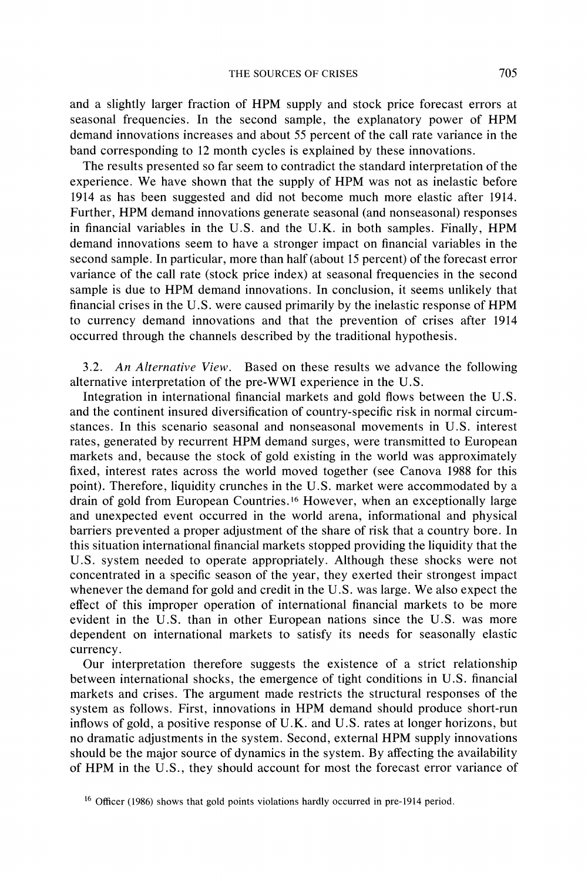**and a slightly larger fraction of HPM supply and stock price forecast errors at seasonal frequencies. In the second sample, the explanatory power of HPM demand innovations increases and about 55 percent of the call rate variance in the band corresponding to 12 month cycles is explained by these innovations.** 

**The results presented so far seem to contradict the standard interpretation of the experience. We have shown that the supply of HPM was not as inelastic before 1914 as has been suggested and did not become much more elastic after 1914. Further, HPM demand innovations generate seasonal (and nonseasonal) responses in financial variables in the U.S. and the U.K. in both samples. Finally, HPM demand innovations seem to have a stronger impact on financial variables in the second sample. In particular, more than half (about 15 percent) of the forecast error variance of the call rate (stock price index) at seasonal frequencies in the second sample is due to HPM demand innovations. In conclusion, it seems unlikely that financial crises in the U.S. were caused primarily by the inelastic response of HPM to currency demand innovations and that the prevention of crises after 1914 occurred through the channels described by the traditional hypothesis.** 

**3.2. An Alternative View. Based on these results we advance the following alternative interpretation of the pre-WWI experience in the U.S.** 

**Integration in international financial markets and gold flows between the U.S. and the continent insured diversification of country-specific risk in normal circumstances. In this scenario seasonal and nonseasonal movements in U.S. interest rates, generated by recurrent HPM demand surges, were transmitted to European markets and, because the stock of gold existing in the world was approximately fixed, interest rates across the world moved together (see Canova 1988 for this point). Therefore, liquidity crunches in the U.S. market were accommodated by a drain of gold from European Countries.16 However, when an exceptionally large and unexpected event occurred in the world arena, informational and physical barriers prevented a proper adjustment of the share of risk that a country bore. In this situation international financial markets stopped providing the liquidity that the U.S. system needed to operate appropriately. Although these shocks were not concentrated in a specific season of the year, they exerted their strongest impact whenever the demand for gold and credit in the U.S. was large. We also expect the effect of this improper operation of international financial markets to be more evident in the U.S. than in other European nations since the U.S. was more dependent on international markets to satisfy its needs for seasonally elastic currency.** 

**Our interpretation therefore suggests the existence of a strict relationship between international shocks, the emergence of tight conditions in U.S. financial markets and crises. The argument made restricts the structural responses of the system as follows. First, innovations in HPM demand should produce short-run inflows of gold, a positive response of U.K. and U.S. rates at longer horizons, but no dramatic adjustments in the system. Second, external HPM supply innovations should be the major source of dynamics in the system. By affecting the availability of HPM in the U.S., they should account for most the forecast error variance of** 

**<sup>16</sup>Officer (1986) shows that gold points violations hardly occurred in pre-1914 period.**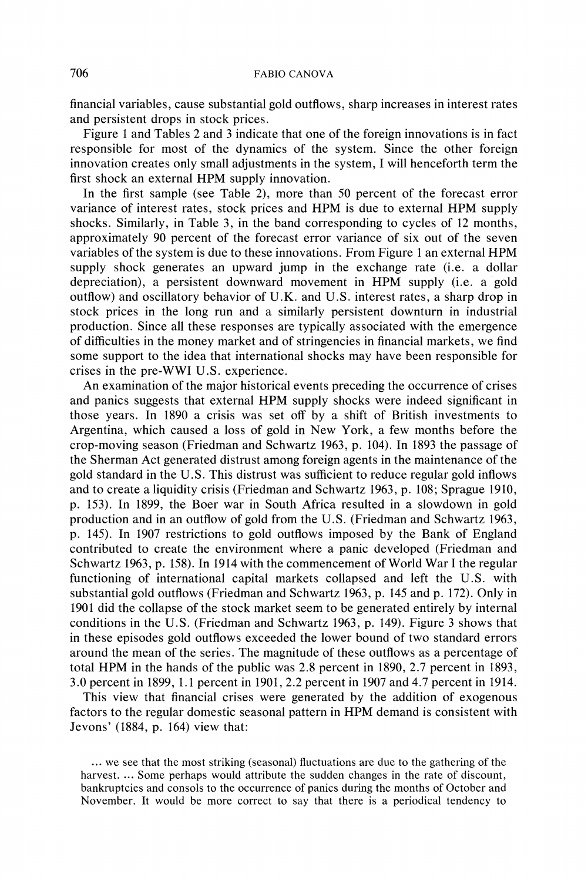**financial variables, cause substantial gold outflows, sharp increases in interest rates and persistent drops in stock prices.** 

**Figure 1 and Tables 2 and 3 indicate that one of the foreign innovations is in fact responsible for most of the dynamics of the system. Since the other foreign innovation creates only small adjustments in the system, I will henceforth term the first shock an external HPM supply innovation.** 

**In the first sample (see Table 2), more than 50 percent of the forecast error variance of interest rates, stock prices and HPM is due to external HPM supply shocks. Similarly, in Table 3, in the band corresponding to cycles of 12 months, approximately 90 percent of the forecast error variance of six out of the seven variables of the system is due to these innovations. From Figure 1 an external HPM supply shock generates an upward jump in the exchange rate (i.e. a dollar depreciation), a persistent downward movement in HPM supply (i.e. a gold outflow) and oscillatory behavior of U.K. and U.S. interest rates, a sharp drop in stock prices in the long run and a similarly persistent downturn in industrial production. Since all these responses are typically associated with the emergence of difficulties in the money market and of stringencies in financial markets, we find some support to the idea that international shocks may have been responsible for crises in the pre-WWI U.S. experience.** 

**An examination of the major historical events preceding the occurrence of crises and panics suggests that external HPM supply shocks were indeed significant in those years. In 1890 a crisis was set off by a shift of British investments to Argentina, which caused a loss of gold in New York, a few months before the crop-moving season (Friedman and Schwartz 1963, p. 104). In 1893 the passage of the Sherman Act generated distrust among foreign agents in the maintenance of the gold standard in the U.S. This distrust was sufficient to reduce regular gold inflows and to create a liquidity crisis (Friedman and Schwartz 1963, p. 108; Sprague 1910, p. 153). In 1899, the Boer war in South Africa resulted in a slowdown in gold production and in an outflow of gold from the U.S. (Friedman and Schwartz 1963, p. 145). In 1907 restrictions to gold outflows imposed by the Bank of England contributed to create the environment where a panic developed (Friedman and Schwartz 1963, p. 158). In 1914 with the commencement of World War I the regular functioning of international capital markets collapsed and left the U.S. with substantial gold outflows (Friedman and Schwartz 1963, p. 145 and p. 172). Only in 1901 did the collapse of the stock market seem to be generated entirely by internal conditions in the U.S. (Friedman and Schwartz 1963, p. 149). Figure 3 shows that in these episodes gold outflows exceeded the lower bound of two standard errors around the mean of the series. The magnitude of these outflows as a percentage of total HPM in the hands of the public was 2.8 percent in 1890, 2.7 percent in 1893, 3.0 percent in 1899, 1.1 percent in 1901, 2.2 percent in 1907 and 4.7 percent in 1914.** 

**This view that financial crises were generated by the addition of exogenous factors to the regular domestic seasonal pattern in HPM demand is consistent with Jevons' (1884, p. 164) view that:** 

**<sup>...</sup> we see that the most striking (seasonal) fluctuations are due to the gathering of the harvest. ... Some perhaps would attribute the sudden changes in the rate of discount, bankruptcies and consols to the occurrence of panics during the months of October and November. It would be more correct to say that there is a periodical tendency to**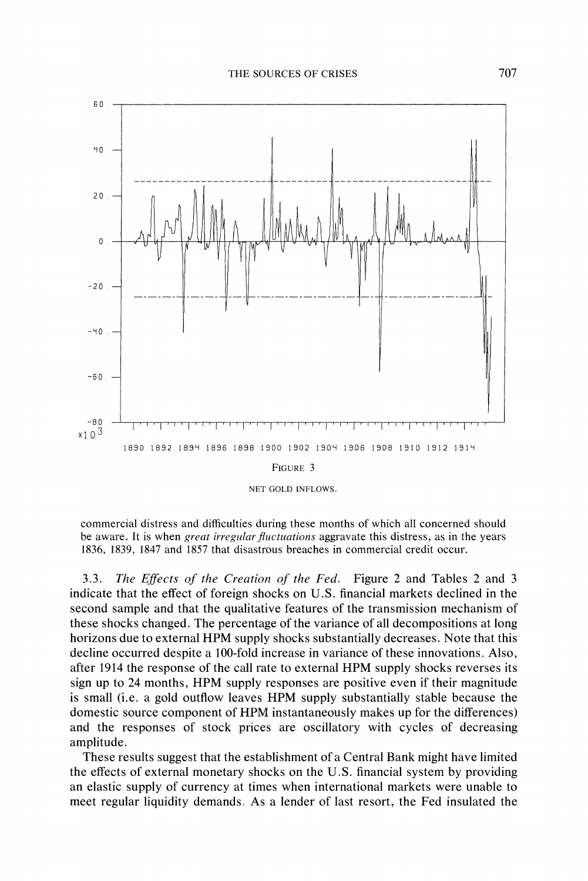

**NET GOLD INFLOWS.** 

**commercial distress and difficulties during these months of which all concerned should be aware. It is when great irregular fluctuations aggravate this distress, as in the years 1836, 1839, 1847 and 1857 that disastrous breaches in commercial credit occur.** 

**3.3. The Effects of the Creation of the Fed. Figure 2 and Tables 2 and 3 indicate that the effect of foreign shocks on U.S. financial markets declined in the second sample and that the qualitative features of the transmission mechanism of these shocks changed. The percentage of the variance of all decompositions at long horizons due to external HPM supply shocks substantially decreases. Note that this decline occurred despite a 100-fold increase in variance of these innovations. Also, after 1914 the response of the call rate to external HPM supply shocks reverses its sign up to 24 months, HPM supply responses are positive even if their magnitude is small (i.e. a gold outflow leaves HPM supply substantially stable because the domestic source component of HPM instantaneously makes up for the differences) and the responses of stock prices are oscillatory with cycles of decreasing amplitude.** 

**These results suggest that the establishment of a Central Bank might have limited the effects of external monetary shocks on the U.S. financial system by providing an elastic supply of currency at times when international markets were unable to meet regular liquidity demands. As a lender of last resort, the Fed insulated the**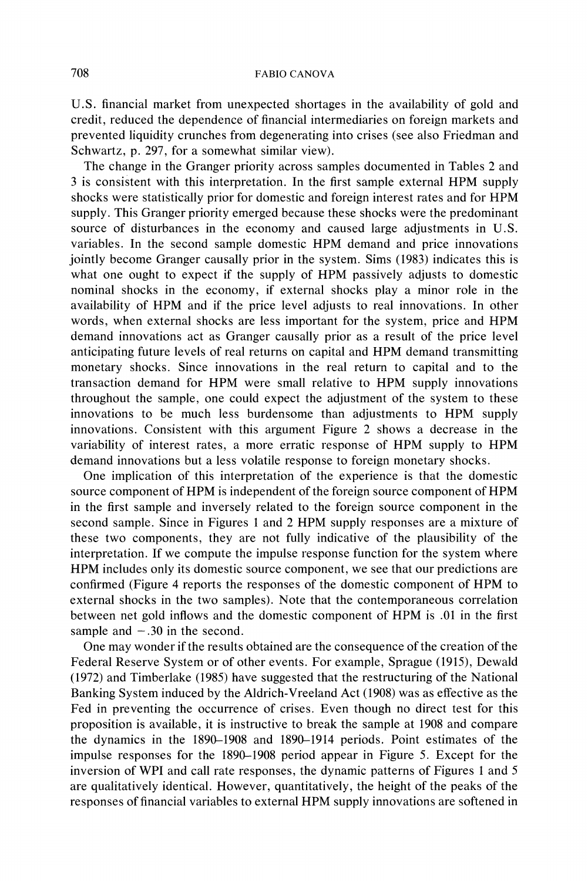**U.S. financial market from unexpected shortages in the availability of gold and credit, reduced the dependence of financial intermediaries on foreign markets and prevented liquidity crunches from degenerating into crises (see also Friedman and Schwartz, p. 297, for a somewhat similar view).** 

**The change in the Granger priority across samples documented in Tables 2 and 3 is consistent with this interpretation. In the first sample external HPM supply shocks were statistically prior for domestic and foreign interest rates and for HPM supply. This Granger priority emerged because these shocks were the predominant source of disturbances in the economy and caused large adjustments in U.S. variables. In the second sample domestic HPM demand and price innovations jointly become Granger causally prior in the system. Sims (1983) indicates this is what one ought to expect if the supply of HPM passively adjusts to domestic nominal shocks in the economy, if external shocks play a minor role in the availability of HPM and if the price level adjusts to real innovations. In other words, when external shocks are less important for the system, price and HPM demand innovations act as Granger causally prior as a result of the price level anticipating future levels of real returns on capital and HPM demand transmitting monetary shocks. Since innovations in the real return to capital and to the transaction demand for HPM were small relative to HPM supply innovations throughout the sample, one could expect the adjustment of the system to these innovations to be much less burdensome than adjustments to HPM supply innovations. Consistent with this argument Figure 2 shows a decrease in the variability of interest rates, a more erratic response of HPM supply to HPM demand innovations but a less volatile response to foreign monetary shocks.** 

**One implication of this interpretation of the experience is that the domestic source component of HPM is independent of the foreign source component of HPM in the first sample and inversely related to the foreign source component in the second sample. Since in Figures 1 and 2 HPM supply responses are a mixture of these two components, they are not fully indicative of the plausibility of the interpretation. If we compute the impulse response function for the system where HPM includes only its domestic source component, we see that our predictions are confirmed (Figure 4 reports the responses of the domestic component of HPM to external shocks in the two samples). Note that the contemporaneous correlation between net gold inflows and the domestic component of HPM is .01 in the first**  sample and  $-.30$  in the second.

**One may wonder if the results obtained are the consequence of the creation of the Federal Reserve System or of other events. For example, Sprague (1915), Dewald (1972) and Timberlake (1985) have suggested that the restructuring of the National Banking System induced by the Aldrich-Vreeland Act (1908) was as effective as the Fed in preventing the occurrence of crises. Even though no direct test for this proposition is available, it is instructive to break the sample at 1908 and compare the dynamics in the 1890-1908 and 1890-1914 periods. Point estimates of the impulse responses for the 1890-1908 period appear in Figure 5. Except for the inversion of WPI and call rate responses, the dynamic patterns of Figures 1 and 5 are qualitatively identical. However, quantitatively, the height of the peaks of the responses of financial variables to external HPM supply innovations are softened in**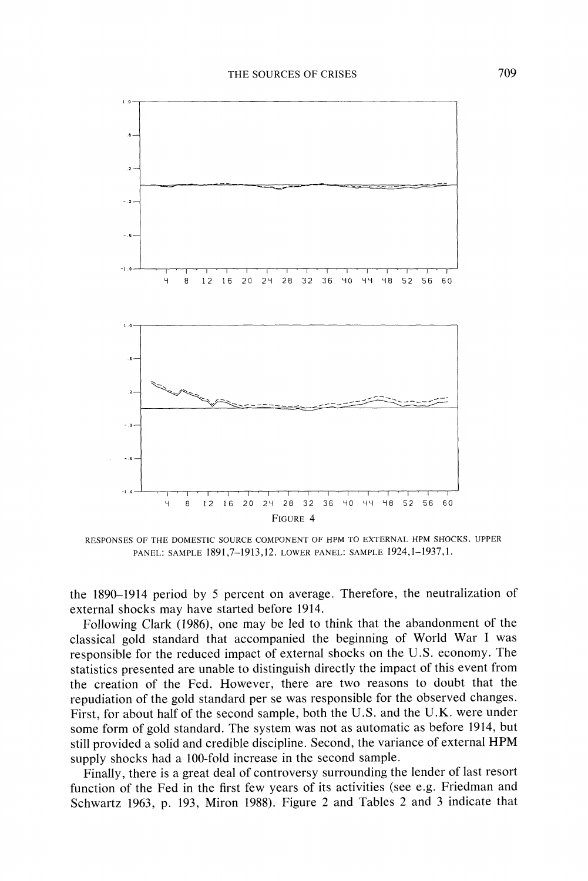

**RESPONSES OF THE DOMESTIC SOURCE COMPONENT OF HPM TO EXTERNAL HPM SHOCKS. UPPER PANEL: SAMPLE 1891,7-1913,12. LOWER PANEL: SAMPLE 1924,1-1937,1.** 

**the 1890-1914 period by 5 percent on average. Therefore, the neutralization of external shocks may have started before 1914.** 

**Following Clark (1986), one may be led to think that the abandonment of the classical gold standard that accompanied the beginning of World War I was responsible for the reduced impact of external shocks on the U.S. economy. The statistics presented are unable to distinguish directly the impact of this event from the creation of the Fed. However, there are two reasons to doubt that the repudiation of the gold standard per se was responsible for the observed changes. First, for about half of the second sample, both the U.S. and the U.K. were under some form of gold standard. The system was not as automatic as before 1914, but still provided a solid and credible discipline. Second, the variance of external HPM supply shocks had a 100-fold increase in the second sample.** 

**Finally, there is a great deal of controversy surrounding the lender of last resort function of the Fed in the first few years of its activities (see e.g. Friedman and Schwartz 1963, p. 193, Miron 1988). Figure 2 and Tables 2 and 3 indicate that**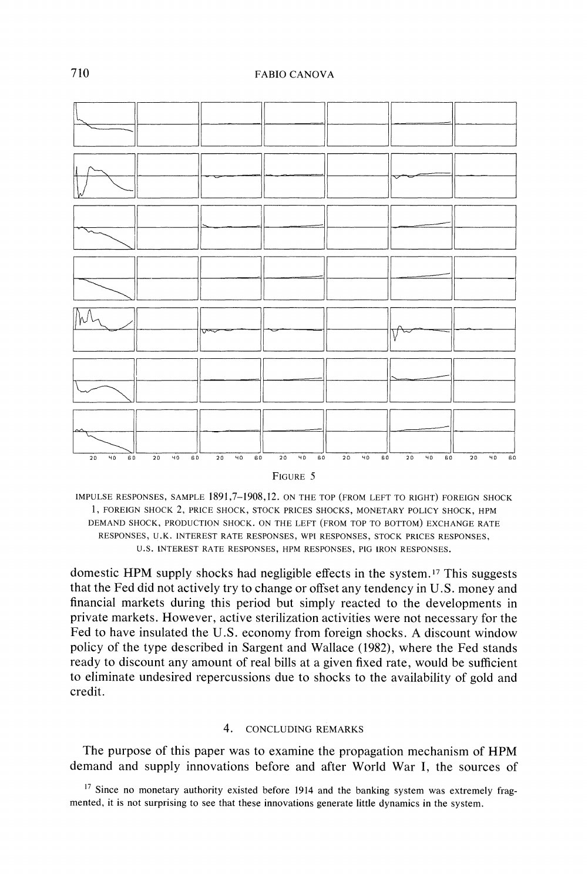

**FIGURE 5** 

**IMPULSE RESPONSES, SAMPLE 1891,7-1908,12. ON THE TOP (FROM LEFT TO RIGHT) FOREIGN SHOCK 1, FOREIGN SHOCK 2, PRICE SHOCK, STOCK PRICES SHOCKS, MONETARY POLICY SHOCK, HPM DEMAND SHOCK, PRODUCTION SHOCK. ON THE LEFT (FROM TOP TO BOTTOM) EXCHANGE RATE RESPONSES, U.K. INTEREST RATE RESPONSES, WPI RESPONSES, STOCK PRICES RESPONSES, U.S. INTEREST RATE RESPONSES, HPM RESPONSES, PIG IRON RESPONSES.** 

**domestic HPM supply shocks had negligible effects in the system. 17 This suggests that the Fed did not actively try to change or offset any tendency in U.S. money and financial markets during this period but simply reacted to the developments in private markets. However, active sterilization activities were not necessary for the Fed to have insulated the U.S. economy from foreign shocks. A discount window policy of the type described in Sargent and Wallace (1982), where the Fed stands ready to discount any amount of real bills at a given fixed rate, would be sufficient to eliminate undesired repercussions due to shocks to the availability of gold and credit.** 

### **4. CONCLUDING REMARKS**

**The purpose of this paper was to examine the propagation mechanism of HPM demand and supply innovations before and after World War I, the sources of** 

**<sup>17</sup>Since no monetary authority existed before 1914 and the banking system was extremely fragmented, it is not surprising to see that these innovations generate little dynamics in the system.**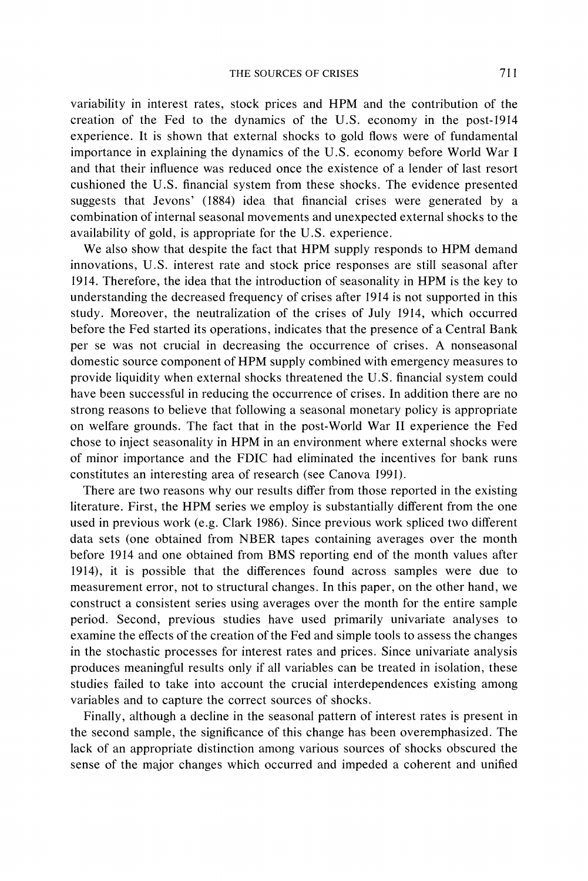**variability in interest rates, stock prices and HPM and the contribution of the creation of the Fed to the dynamics of the U.S. economy in the post-1914 experience. It is shown that external shocks to gold flows were of fundamental importance in explaining the dynamics of the U.S. economy before World War I and that their influence was reduced once the existence of a lender of last resort cushioned the U.S. financial system from these shocks. The evidence presented suggests that Jevons' (1884) idea that financial crises were generated by a combination of internal seasonal movements and unexpected external shocks to the availability of gold, is appropriate for the U.S. experience.** 

**We also show that despite the fact that HPM supply responds to HPM demand innovations, U.S. interest rate and stock price responses are still seasonal after 1914. Therefore, the idea that the introduction of seasonality in HPM is the key to understanding the decreased frequency of crises after 1914 is not supported in this study. Moreover, the neutralization of the crises of July 1914, which occurred before the Fed started its operations, indicates that the presence of a Central Bank per se was not crucial in decreasing the occurrence of crises. A nonseasonal domestic source component of HPM supply combined with emergency measures to provide liquidity when external shocks threatened the U.S. financial system could have been successful in reducing the occurrence of crises. In addition there are no strong reasons to believe that following a seasonal monetary policy is appropriate on welfare grounds. The fact that in the post-World War II experience the Fed chose to inject seasonality in HPM in an environment where external shocks were of minor importance and the FDIC had eliminated the incentives for bank runs constitutes an interesting area of research (see Canova 1991).** 

**There are two reasons why our results differ from those reported in the existing literature. First, the HPM series we employ is substantially different from the one used in previous work (e.g. Clark 1986). Since previous work spliced two different data sets (one obtained from NBER tapes containing averages over the month before 1914 and one obtained from BMS reporting end of the month values after 1914), it is possible that the differences found across samples were due to measurement error, not to structural changes. In this paper, on the other hand, we construct a consistent series using averages over the month for the entire sample period. Second, previous studies have used primarily univariate analyses to examine the effects of the creation of the Fed and simple tools to assess the changes in the stochastic processes for interest rates and prices. Since univariate analysis produces meaningful results only if all variables can be treated in isolation, these studies failed to take into account the crucial interdependences existing among variables and to capture the correct sources of shocks.** 

**Finally, although a decline in the seasonal pattern of interest rates is present in the second sample, the significance of this change has been overemphasized. The lack of an appropriate distinction among various sources of shocks obscured the sense of the major changes which occurred and impeded a coherent and unified**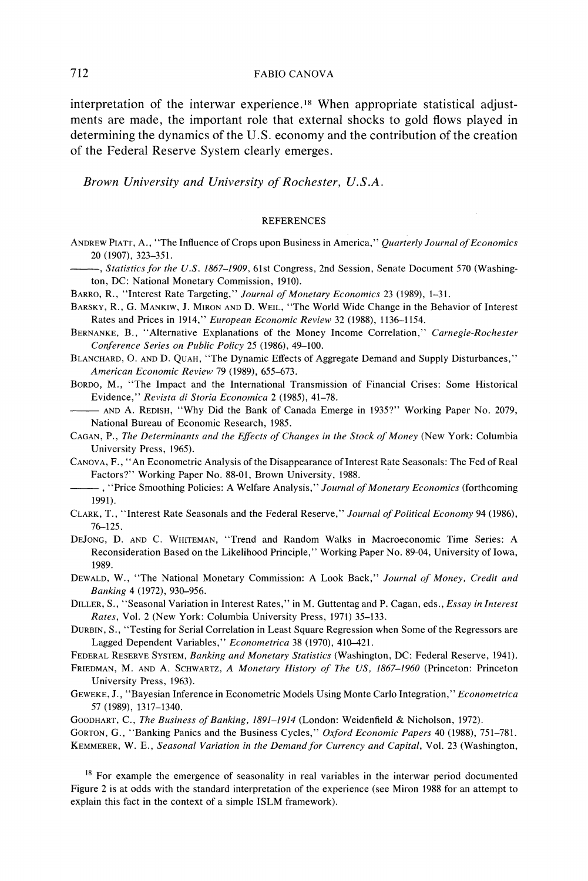**interpretation of the interwar experience.18 When appropriate statistical adjustments are made, the important role that external shocks to gold flows played in determining the dynamics of the U.S. economy and the contribution of the creation of the Federal Reserve System clearly emerges.** 

**Brown University and University of Rochester, U.S.A.** 

#### **REFERENCES**

**ANDREW PIATr, A., "The Influence of Crops upon Business in America," Quarterly Journal of Economics 20 (1907), 323-351.** 

-, Statistics for the U.S. 1867-1909, 61st Congress, 2nd Session, Senate Document 570 (Washing**ton, DC: National Monetary Commission, 1910).** 

**BARRO, R., "Interest Rate Targeting," Journal of Monetary Economics 23 (1989), 1-31.** 

- **BARSKY, R., G. MANKIW, J.MIRON AND D. WEIL, "The World Wide Change in the Behavior of Interest Rates and Prices in 1914," European Economic Review 32 (1988), 1136-1154.**
- **BERNANKE, B., "Alternative Explanations of the Money Income Correlation," Carnegie-Rochester Conference Series on Public Policy 25 (1986), 49-100.**
- **BLANCHARD, 0. AND D. QUAH, "The Dynamic Effects of Aggregate Demand and Supply Disturbances," American Economic Review 79 (1989), 655-673.**

**BORDO, M., "The Impact and the International Transmission of Financial Crises: Some Historical Evidence," Revista di Storia Economica 2 (1985), 41-78.** 

**AND A. REDISH, "Why Did the Bank of Canada Emerge in 1935?" Working Paper No. 2079, National Bureau of Economic Research, 1985.** 

**CAGAN, P., The Determinants and the Effects of Changes in the Stock of Money (New York: Columbia University Press, 1965).** 

**CANOVA, F., "An Econometric Analysis of the Disappearance of Interest Rate Seasonals: The Fed of Real Factors?" Working Paper No. 88-01, Brown University, 1988.** 

- **, "Price Smoothing Policies: A Welfare Analysis," Journal of Monetaty Economics (forthcoming 1991).**
- **CLARK, T., "Interest Rate Seasonals and the Federal Reserve," Journal of Political Economy 94 (1986), 76-125.**
- **DEJONG, D. AND C. WHITEMAN, "Trend and Random Walks in Macroeconomic Time Series: A Reconsideration Based on the Likelihood Principle," Working Paper No. 89-04, University of Iowa, 1989.**

**DEWALD, W., "The National Monetary Commission: A Look Back," Journal of Money, Credit and Banking 4 (1972), 930-956.** 

**DILLER, S., "Seasonal Variation in Interest Rates," in M. Guttentag and P. Cagan, eds., Essay in Interest Rates, Vol. 2 (New York: Columbia University Press, 1971) 35-133.** 

**DURBIN, S., "Testing for Serial Correlation in Least Square Regression when Some of the Regressors are Lagged Dependent Variables," Econometrica 38 (1970), 410-421.** 

**FEDERAL RESERVE SYSTEM, Banking and Monetary Statistics (Washington, DC: Federal Reserve, 1941).** 

**FRIEDMAN, M. AND A. SCHWARTZ, A Monetary History of The US, 1867-1960 (Princeton: Princeton University Press, 1963).** 

**GEWEKE, J., "Bayesian Inference in Econometric Models Using Monte Carlo Integration," Econometrica 57 (1989), 1317-1340.** 

GOODHART, C., *The Business of Banking, 1891–1914* (London: Weidenfield & Nicholson, 1972).

**GORTON, G., "Banking Panics and the Business Cycles," Oxford Economic Papers 40 (1988), 751-781.**  KEMMERER, W. E., Seasonal Variation in the Demand for Currency and Capital, Vol. 23 (Washington,

**<sup>18</sup>For example the emergence of seasonality in real variables in the interwar period documented Figure 2 is at odds with the standard interpretation of the experience (see Miron 1988 for an attempt to explain this fact in the context of a simple ISLM framework).**